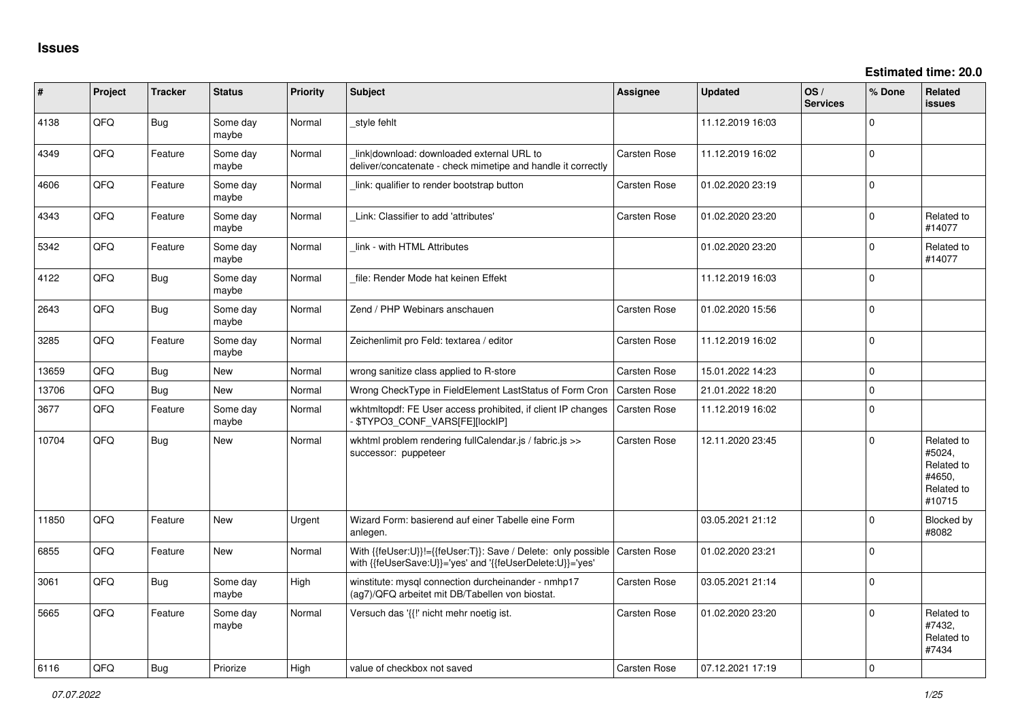| ∦     | Project | <b>Tracker</b> | <b>Status</b>     | Priority | <b>Subject</b>                                                                                                             | Assignee            | <b>Updated</b>   | OS/<br><b>Services</b> | % Done         | Related<br><b>issues</b>                                             |
|-------|---------|----------------|-------------------|----------|----------------------------------------------------------------------------------------------------------------------------|---------------------|------------------|------------------------|----------------|----------------------------------------------------------------------|
| 4138  | QFQ     | Bug            | Some day<br>maybe | Normal   | style fehlt                                                                                                                |                     | 11.12.2019 16:03 |                        | $\Omega$       |                                                                      |
| 4349  | QFQ     | Feature        | Some day<br>maybe | Normal   | link download: downloaded external URL to<br>deliver/concatenate - check mimetipe and handle it correctly                  | Carsten Rose        | 11.12.2019 16:02 |                        | $\Omega$       |                                                                      |
| 4606  | QFQ     | Feature        | Some day<br>maybe | Normal   | link: qualifier to render bootstrap button                                                                                 | Carsten Rose        | 01.02.2020 23:19 |                        | $\Omega$       |                                                                      |
| 4343  | QFQ     | Feature        | Some day<br>maybe | Normal   | Link: Classifier to add 'attributes'                                                                                       | Carsten Rose        | 01.02.2020 23:20 |                        | $\Omega$       | Related to<br>#14077                                                 |
| 5342  | QFQ     | Feature        | Some day<br>maybe | Normal   | link - with HTML Attributes                                                                                                |                     | 01.02.2020 23:20 |                        | $\Omega$       | Related to<br>#14077                                                 |
| 4122  | QFQ     | Bug            | Some day<br>maybe | Normal   | file: Render Mode hat keinen Effekt                                                                                        |                     | 11.12.2019 16:03 |                        | $\overline{0}$ |                                                                      |
| 2643  | QFQ     | Bug            | Some day<br>maybe | Normal   | Zend / PHP Webinars anschauen                                                                                              | Carsten Rose        | 01.02.2020 15:56 |                        | $\mathbf 0$    |                                                                      |
| 3285  | QFQ     | Feature        | Some day<br>maybe | Normal   | Zeichenlimit pro Feld: textarea / editor                                                                                   | Carsten Rose        | 11.12.2019 16:02 |                        | $\Omega$       |                                                                      |
| 13659 | QFQ     | Bug            | <b>New</b>        | Normal   | wrong sanitize class applied to R-store                                                                                    | Carsten Rose        | 15.01.2022 14:23 |                        | $\mathbf 0$    |                                                                      |
| 13706 | QFQ     | Bug            | New               | Normal   | Wrong CheckType in FieldElement LastStatus of Form Cron                                                                    | Carsten Rose        | 21.01.2022 18:20 |                        | $\Omega$       |                                                                      |
| 3677  | QFQ     | Feature        | Some day<br>maybe | Normal   | wkhtmltopdf: FE User access prohibited, if client IP changes<br>\$TYPO3_CONF_VARS[FE][lockIP]                              | Carsten Rose        | 11.12.2019 16:02 |                        | $\overline{0}$ |                                                                      |
| 10704 | QFQ     | Bug            | New               | Normal   | wkhtml problem rendering fullCalendar.js / fabric.js >><br>successor: puppeteer                                            | Carsten Rose        | 12.11.2020 23:45 |                        | $\Omega$       | Related to<br>#5024,<br>Related to<br>#4650,<br>Related to<br>#10715 |
| 11850 | QFQ     | Feature        | <b>New</b>        | Urgent   | Wizard Form: basierend auf einer Tabelle eine Form<br>anlegen.                                                             |                     | 03.05.2021 21:12 |                        | $\Omega$       | <b>Blocked by</b><br>#8082                                           |
| 6855  | QFQ     | Feature        | <b>New</b>        | Normal   | With {{feUser:U}}!={{feUser:T}}: Save / Delete: only possible<br>with {{feUserSave:U}}='yes' and '{{feUserDelete:U}}='yes' | <b>Carsten Rose</b> | 01.02.2020 23:21 |                        | $\Omega$       |                                                                      |
| 3061  | QFQ     | Bug            | Some day<br>maybe | High     | winstitute: mysql connection durcheinander - nmhp17<br>(ag7)/QFQ arbeitet mit DB/Tabellen von biostat.                     | Carsten Rose        | 03.05.2021 21:14 |                        | $\Omega$       |                                                                      |
| 5665  | QFQ     | Feature        | Some day<br>maybe | Normal   | Versuch das '{{!' nicht mehr noetig ist.                                                                                   | <b>Carsten Rose</b> | 01.02.2020 23:20 |                        | $\Omega$       | Related to<br>#7432.<br>Related to<br>#7434                          |
| 6116  | OFO     | Bug            | Priorize          | Hiah     | value of checkbox not saved                                                                                                | <b>Carsten Rose</b> | 07.12.2021 17:19 |                        | $\Omega$       |                                                                      |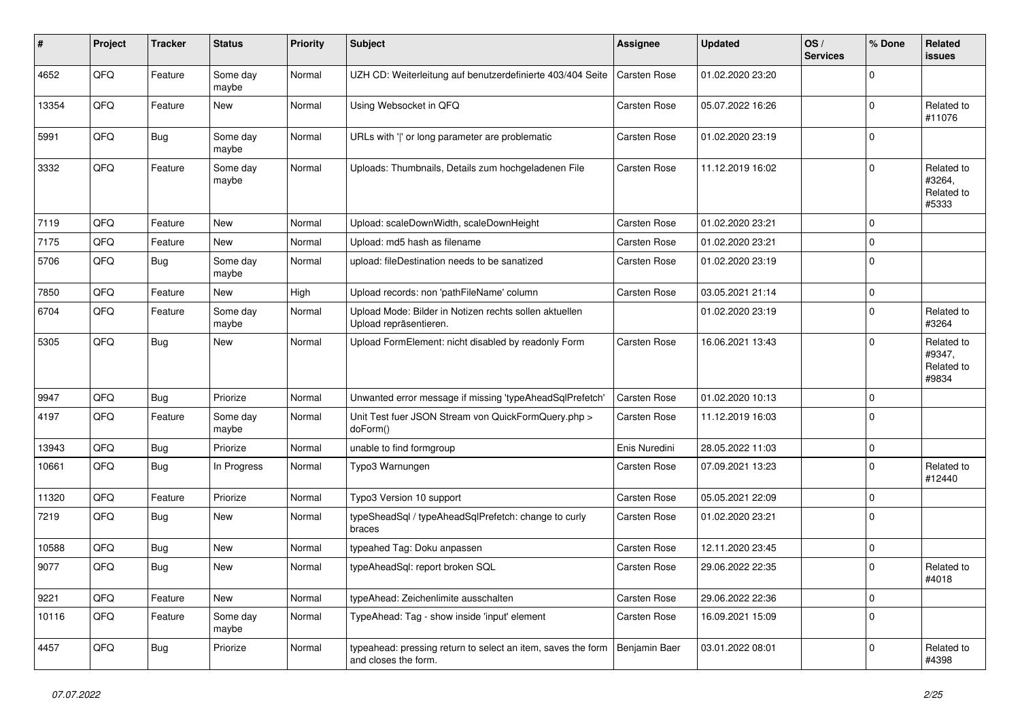| ∦     | Project | <b>Tracker</b> | <b>Status</b>     | <b>Priority</b> | <b>Subject</b>                                                                       | <b>Assignee</b>     | <b>Updated</b>   | OS/<br><b>Services</b> | % Done      | Related<br><b>issues</b>                    |
|-------|---------|----------------|-------------------|-----------------|--------------------------------------------------------------------------------------|---------------------|------------------|------------------------|-------------|---------------------------------------------|
| 4652  | QFQ     | Feature        | Some day<br>maybe | Normal          | UZH CD: Weiterleitung auf benutzerdefinierte 403/404 Seite                           | <b>Carsten Rose</b> | 01.02.2020 23:20 |                        | $\Omega$    |                                             |
| 13354 | QFQ     | Feature        | New               | Normal          | Using Websocket in QFQ                                                               | Carsten Rose        | 05.07.2022 16:26 |                        | $\Omega$    | Related to<br>#11076                        |
| 5991  | QFQ     | Bug            | Some day<br>maybe | Normal          | URLs with ' ' or long parameter are problematic                                      | Carsten Rose        | 01.02.2020 23:19 |                        | $\Omega$    |                                             |
| 3332  | QFQ     | Feature        | Some day<br>maybe | Normal          | Uploads: Thumbnails, Details zum hochgeladenen File                                  | <b>Carsten Rose</b> | 11.12.2019 16:02 |                        | $\mathbf 0$ | Related to<br>#3264,<br>Related to<br>#5333 |
| 7119  | QFQ     | Feature        | <b>New</b>        | Normal          | Upload: scaleDownWidth, scaleDownHeight                                              | <b>Carsten Rose</b> | 01.02.2020 23:21 |                        | $\Omega$    |                                             |
| 7175  | QFQ     | Feature        | New               | Normal          | Upload: md5 hash as filename                                                         | Carsten Rose        | 01.02.2020 23:21 |                        | $\mathbf 0$ |                                             |
| 5706  | QFQ     | Bug            | Some day<br>maybe | Normal          | upload: fileDestination needs to be sanatized                                        | Carsten Rose        | 01.02.2020 23:19 |                        | $\Omega$    |                                             |
| 7850  | QFQ     | Feature        | <b>New</b>        | High            | Upload records: non 'pathFileName' column                                            | <b>Carsten Rose</b> | 03.05.2021 21:14 |                        | $\mathbf 0$ |                                             |
| 6704  | QFQ     | Feature        | Some day<br>maybe | Normal          | Upload Mode: Bilder in Notizen rechts sollen aktuellen<br>Upload repräsentieren.     |                     | 01.02.2020 23:19 |                        | $\Omega$    | Related to<br>#3264                         |
| 5305  | QFQ     | Bug            | New               | Normal          | Upload FormElement: nicht disabled by readonly Form                                  | Carsten Rose        | 16.06.2021 13:43 |                        | 0           | Related to<br>#9347,<br>Related to<br>#9834 |
| 9947  | QFQ     | <b>Bug</b>     | Priorize          | Normal          | Unwanted error message if missing 'typeAheadSqlPrefetch'                             | Carsten Rose        | 01.02.2020 10:13 |                        | $\mathbf 0$ |                                             |
| 4197  | QFQ     | Feature        | Some day<br>maybe | Normal          | Unit Test fuer JSON Stream von QuickFormQuery.php ><br>doForm()                      | Carsten Rose        | 11.12.2019 16:03 |                        | $\mathbf 0$ |                                             |
| 13943 | QFQ     | Bug            | Priorize          | Normal          | unable to find formgroup                                                             | Enis Nuredini       | 28.05.2022 11:03 |                        | $\mathbf 0$ |                                             |
| 10661 | QFQ     | Bug            | In Progress       | Normal          | Typo3 Warnungen                                                                      | Carsten Rose        | 07.09.2021 13:23 |                        | $\mathbf 0$ | Related to<br>#12440                        |
| 11320 | QFQ     | Feature        | Priorize          | Normal          | Typo3 Version 10 support                                                             | Carsten Rose        | 05.05.2021 22:09 |                        | $\mathbf 0$ |                                             |
| 7219  | QFQ     | Bug            | New               | Normal          | typeSheadSql / typeAheadSqlPrefetch: change to curly<br>braces                       | <b>Carsten Rose</b> | 01.02.2020 23:21 |                        | $\mathbf 0$ |                                             |
| 10588 | QFQ     | Bug            | New               | Normal          | typeahed Tag: Doku anpassen                                                          | Carsten Rose        | 12.11.2020 23:45 |                        | $\mathbf 0$ |                                             |
| 9077  | QFQ     | Bug            | New               | Normal          | typeAheadSql: report broken SQL                                                      | Carsten Rose        | 29.06.2022 22:35 |                        | $\Omega$    | Related to<br>#4018                         |
| 9221  | QFQ     | Feature        | New               | Normal          | typeAhead: Zeichenlimite ausschalten                                                 | Carsten Rose        | 29.06.2022 22:36 |                        | $\mathbf 0$ |                                             |
| 10116 | QFQ     | Feature        | Some day<br>maybe | Normal          | TypeAhead: Tag - show inside 'input' element                                         | Carsten Rose        | 16.09.2021 15:09 |                        | $\mathbf 0$ |                                             |
| 4457  | QFG     | Bug            | Priorize          | Normal          | typeahead: pressing return to select an item, saves the form<br>and closes the form. | Benjamin Baer       | 03.01.2022 08:01 |                        | $\mathbf 0$ | Related to<br>#4398                         |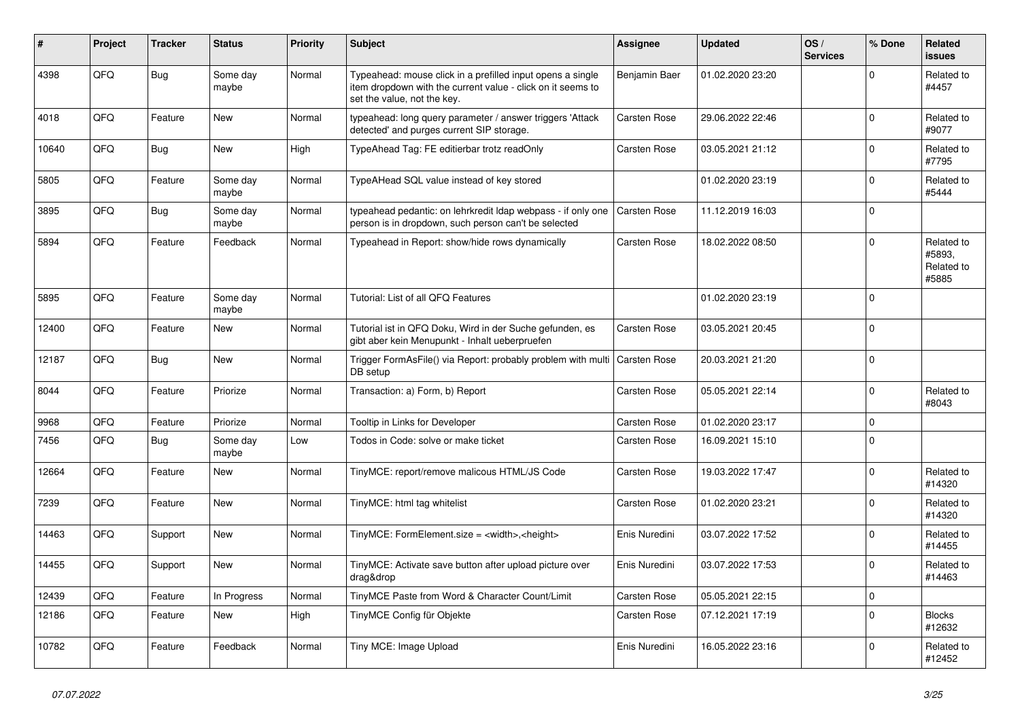| #     | Project | <b>Tracker</b> | <b>Status</b>     | <b>Priority</b> | <b>Subject</b>                                                                                                                                           | <b>Assignee</b>     | <b>Updated</b>   | OS/<br><b>Services</b> | % Done      | Related<br><b>issues</b>                    |
|-------|---------|----------------|-------------------|-----------------|----------------------------------------------------------------------------------------------------------------------------------------------------------|---------------------|------------------|------------------------|-------------|---------------------------------------------|
| 4398  | QFQ     | <b>Bug</b>     | Some day<br>maybe | Normal          | Typeahead: mouse click in a prefilled input opens a single<br>item dropdown with the current value - click on it seems to<br>set the value, not the key. | Benjamin Baer       | 01.02.2020 23:20 |                        | $\mathbf 0$ | Related to<br>#4457                         |
| 4018  | QFQ     | Feature        | New               | Normal          | typeahead: long query parameter / answer triggers 'Attack<br>detected' and purges current SIP storage.                                                   | <b>Carsten Rose</b> | 29.06.2022 22:46 |                        | $\Omega$    | Related to<br>#9077                         |
| 10640 | QFQ     | Bug            | New               | High            | TypeAhead Tag: FE editierbar trotz readOnly                                                                                                              | <b>Carsten Rose</b> | 03.05.2021 21:12 |                        | $\mathbf 0$ | Related to<br>#7795                         |
| 5805  | QFQ     | Feature        | Some day<br>maybe | Normal          | TypeAHead SQL value instead of key stored                                                                                                                |                     | 01.02.2020 23:19 |                        | $\Omega$    | Related to<br>#5444                         |
| 3895  | QFQ     | Bug            | Some day<br>maybe | Normal          | typeahead pedantic: on lehrkredit Idap webpass - if only one<br>person is in dropdown, such person can't be selected                                     | <b>Carsten Rose</b> | 11.12.2019 16:03 |                        | $\mathbf 0$ |                                             |
| 5894  | QFQ     | Feature        | Feedback          | Normal          | Typeahead in Report: show/hide rows dynamically                                                                                                          | Carsten Rose        | 18.02.2022 08:50 |                        | $\mathbf 0$ | Related to<br>#5893.<br>Related to<br>#5885 |
| 5895  | QFQ     | Feature        | Some day<br>maybe | Normal          | Tutorial: List of all QFQ Features                                                                                                                       |                     | 01.02.2020 23:19 |                        | $\Omega$    |                                             |
| 12400 | QFQ     | Feature        | New               | Normal          | Tutorial ist in QFQ Doku, Wird in der Suche gefunden, es<br>gibt aber kein Menupunkt - Inhalt ueberpruefen                                               | Carsten Rose        | 03.05.2021 20:45 |                        | $\mathbf 0$ |                                             |
| 12187 | QFQ     | <b>Bug</b>     | <b>New</b>        | Normal          | Trigger FormAsFile() via Report: probably problem with multi<br>DB setup                                                                                 | Carsten Rose        | 20.03.2021 21:20 |                        | $\mathbf 0$ |                                             |
| 8044  | QFQ     | Feature        | Priorize          | Normal          | Transaction: a) Form, b) Report                                                                                                                          | <b>Carsten Rose</b> | 05.05.2021 22:14 |                        | $\mathbf 0$ | Related to<br>#8043                         |
| 9968  | OFO     | Feature        | Priorize          | Normal          | Tooltip in Links for Developer                                                                                                                           | <b>Carsten Rose</b> | 01.02.2020 23:17 |                        | $\Omega$    |                                             |
| 7456  | QFQ     | <b>Bug</b>     | Some day<br>maybe | Low             | Todos in Code: solve or make ticket                                                                                                                      | Carsten Rose        | 16.09.2021 15:10 |                        | $\Omega$    |                                             |
| 12664 | QFQ     | Feature        | <b>New</b>        | Normal          | TinyMCE: report/remove malicous HTML/JS Code                                                                                                             | Carsten Rose        | 19.03.2022 17:47 |                        | $\Omega$    | Related to<br>#14320                        |
| 7239  | QFQ     | Feature        | New               | Normal          | TinyMCE: html tag whitelist                                                                                                                              | <b>Carsten Rose</b> | 01.02.2020 23:21 |                        | $\mathbf 0$ | Related to<br>#14320                        |
| 14463 | QFQ     | Support        | New               | Normal          | TinyMCE: FormElement.size = <width>,<height></height></width>                                                                                            | Enis Nuredini       | 03.07.2022 17:52 |                        | $\Omega$    | Related to<br>#14455                        |
| 14455 | QFQ     | Support        | <b>New</b>        | Normal          | TinyMCE: Activate save button after upload picture over<br>drag&drop                                                                                     | Enis Nuredini       | 03.07.2022 17:53 |                        | $\Omega$    | Related to<br>#14463                        |
| 12439 | QFQ     | Feature        | In Progress       | Normal          | TinyMCE Paste from Word & Character Count/Limit                                                                                                          | <b>Carsten Rose</b> | 05.05.2021 22:15 |                        | $\mathbf 0$ |                                             |
| 12186 | QFQ     | Feature        | New               | High            | TinyMCE Config für Objekte                                                                                                                               | Carsten Rose        | 07.12.2021 17:19 |                        | $\mathbf 0$ | <b>Blocks</b><br>#12632                     |
| 10782 | QFQ     | Feature        | Feedback          | Normal          | Tiny MCE: Image Upload                                                                                                                                   | Enis Nuredini       | 16.05.2022 23:16 |                        | $\Omega$    | Related to<br>#12452                        |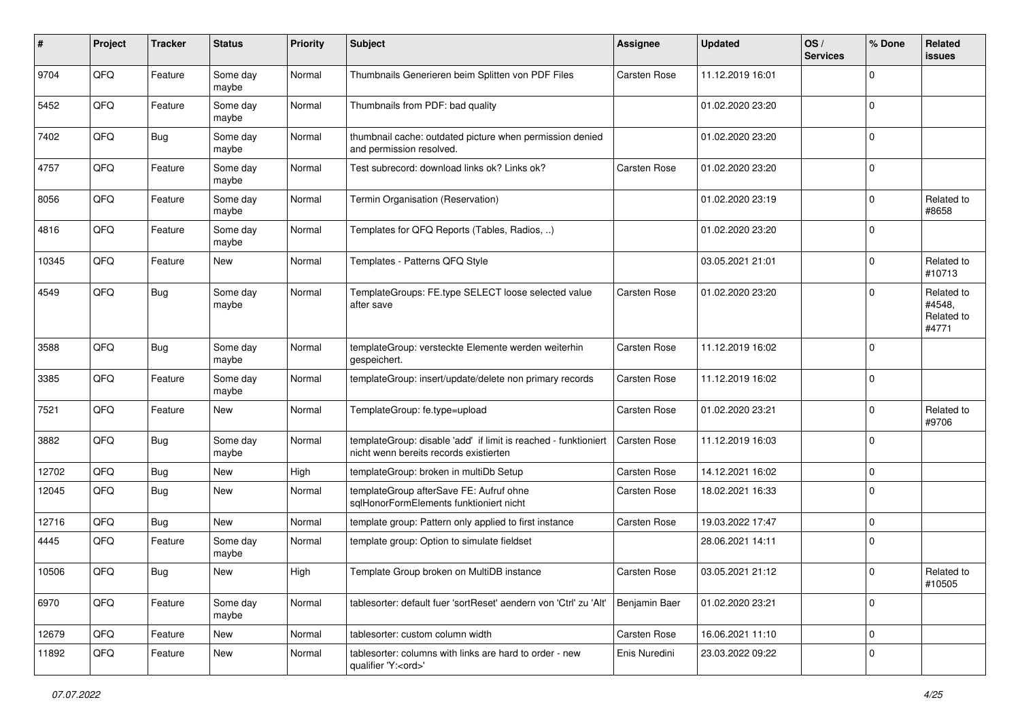| $\sharp$ | Project | <b>Tracker</b> | <b>Status</b>     | <b>Priority</b> | <b>Subject</b>                                                                                            | <b>Assignee</b> | <b>Updated</b>   | OS/<br><b>Services</b> | % Done      | Related<br>issues                           |
|----------|---------|----------------|-------------------|-----------------|-----------------------------------------------------------------------------------------------------------|-----------------|------------------|------------------------|-------------|---------------------------------------------|
| 9704     | QFQ     | Feature        | Some day<br>maybe | Normal          | Thumbnails Generieren beim Splitten von PDF Files                                                         | Carsten Rose    | 11.12.2019 16:01 |                        | $\Omega$    |                                             |
| 5452     | QFQ     | Feature        | Some day<br>maybe | Normal          | Thumbnails from PDF: bad quality                                                                          |                 | 01.02.2020 23:20 |                        | $\mathbf 0$ |                                             |
| 7402     | QFQ     | Bug            | Some day<br>maybe | Normal          | thumbnail cache: outdated picture when permission denied<br>and permission resolved.                      |                 | 01.02.2020 23:20 |                        | $\Omega$    |                                             |
| 4757     | QFQ     | Feature        | Some day<br>maybe | Normal          | Test subrecord: download links ok? Links ok?                                                              | Carsten Rose    | 01.02.2020 23:20 |                        | $\mathbf 0$ |                                             |
| 8056     | QFQ     | Feature        | Some day<br>maybe | Normal          | Termin Organisation (Reservation)                                                                         |                 | 01.02.2020 23:19 |                        | 0           | Related to<br>#8658                         |
| 4816     | QFQ     | Feature        | Some day<br>maybe | Normal          | Templates for QFQ Reports (Tables, Radios, )                                                              |                 | 01.02.2020 23:20 |                        | $\Omega$    |                                             |
| 10345    | QFQ     | Feature        | New               | Normal          | Templates - Patterns QFQ Style                                                                            |                 | 03.05.2021 21:01 |                        | $\Omega$    | Related to<br>#10713                        |
| 4549     | QFQ     | Bug            | Some day<br>maybe | Normal          | TemplateGroups: FE.type SELECT loose selected value<br>after save                                         | Carsten Rose    | 01.02.2020 23:20 |                        | $\Omega$    | Related to<br>#4548.<br>Related to<br>#4771 |
| 3588     | QFQ     | <b>Bug</b>     | Some day<br>maybe | Normal          | templateGroup: versteckte Elemente werden weiterhin<br>gespeichert.                                       | Carsten Rose    | 11.12.2019 16:02 |                        | $\Omega$    |                                             |
| 3385     | QFQ     | Feature        | Some day<br>maybe | Normal          | templateGroup: insert/update/delete non primary records                                                   | Carsten Rose    | 11.12.2019 16:02 |                        | $\mathbf 0$ |                                             |
| 7521     | QFQ     | Feature        | <b>New</b>        | Normal          | TemplateGroup: fe.type=upload                                                                             | Carsten Rose    | 01.02.2020 23:21 |                        | $\Omega$    | Related to<br>#9706                         |
| 3882     | QFQ     | Bug            | Some day<br>maybe | Normal          | templateGroup: disable 'add' if limit is reached - funktioniert<br>nicht wenn bereits records existierten | Carsten Rose    | 11.12.2019 16:03 |                        | $\Omega$    |                                             |
| 12702    | QFQ     | Bug            | <b>New</b>        | High            | templateGroup: broken in multiDb Setup                                                                    | Carsten Rose    | 14.12.2021 16:02 |                        | 0           |                                             |
| 12045    | QFQ     | Bug            | New               | Normal          | templateGroup afterSave FE: Aufruf ohne<br>salHonorFormElements funktioniert nicht                        | Carsten Rose    | 18.02.2021 16:33 |                        | $\Omega$    |                                             |
| 12716    | QFQ     | <b>Bug</b>     | New               | Normal          | template group: Pattern only applied to first instance                                                    | Carsten Rose    | 19.03.2022 17:47 |                        | $\Omega$    |                                             |
| 4445     | QFQ     | Feature        | Some day<br>maybe | Normal          | template group: Option to simulate fieldset                                                               |                 | 28.06.2021 14:11 |                        | $\Omega$    |                                             |
| 10506    | QFQ     | Bug            | New               | High            | Template Group broken on MultiDB instance                                                                 | Carsten Rose    | 03.05.2021 21:12 |                        | $\Omega$    | Related to<br>#10505                        |
| 6970     | QFQ     | Feature        | Some day<br>maybe | Normal          | tablesorter: default fuer 'sortReset' aendern von 'Ctrl' zu 'Alt'                                         | Benjamin Baer   | 01.02.2020 23:21 |                        | $\Omega$    |                                             |
| 12679    | QFQ     | Feature        | <b>New</b>        | Normal          | tablesorter: custom column width                                                                          | Carsten Rose    | 16.06.2021 11:10 |                        | 0           |                                             |
| 11892    | QFQ     | Feature        | New               | Normal          | tablesorter: columns with links are hard to order - new<br>qualifier 'Y: <ord>'</ord>                     | Enis Nuredini   | 23.03.2022 09:22 |                        | $\Omega$    |                                             |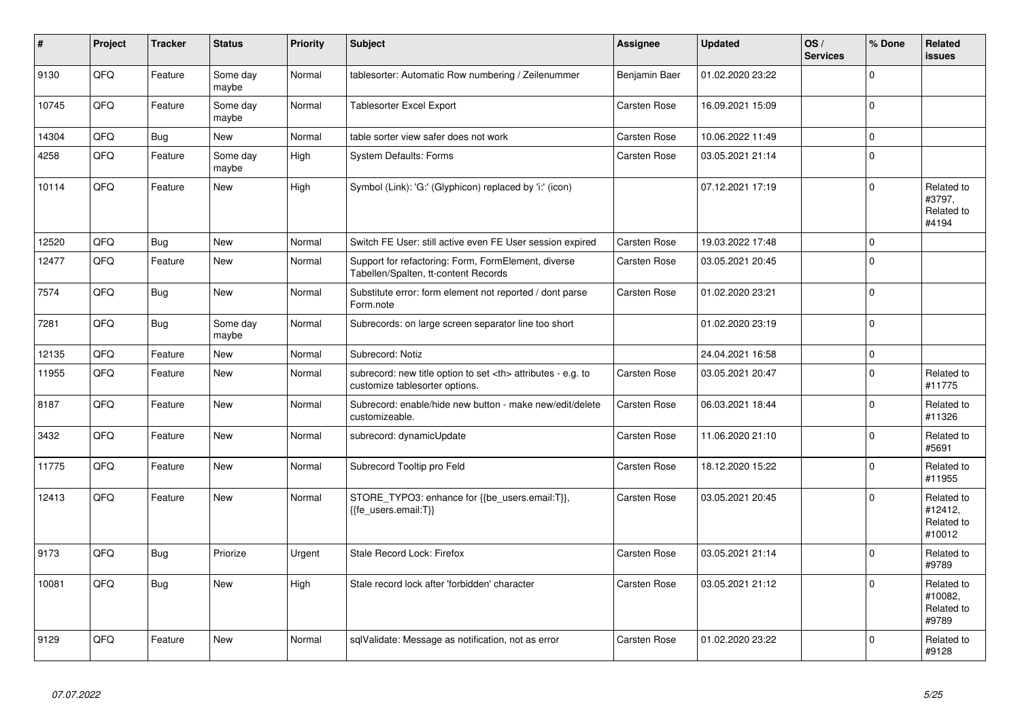| #     | Project | <b>Tracker</b> | <b>Status</b>     | <b>Priority</b> | <b>Subject</b>                                                                                       | Assignee                                               | <b>Updated</b>   | OS/<br><b>Services</b> | % Done      | Related<br><b>issues</b>                      |                      |
|-------|---------|----------------|-------------------|-----------------|------------------------------------------------------------------------------------------------------|--------------------------------------------------------|------------------|------------------------|-------------|-----------------------------------------------|----------------------|
| 9130  | QFQ     | Feature        | Some day<br>maybe | Normal          | tablesorter: Automatic Row numbering / Zeilenummer                                                   | Benjamin Baer                                          | 01.02.2020 23:22 |                        | $\Omega$    |                                               |                      |
| 10745 | QFQ     | Feature        | Some day<br>maybe | Normal          | Tablesorter Excel Export                                                                             | Carsten Rose                                           | 16.09.2021 15:09 |                        | $\Omega$    |                                               |                      |
| 14304 | QFQ     | Bug            | <b>New</b>        | Normal          | table sorter view safer does not work                                                                | Carsten Rose                                           | 10.06.2022 11:49 |                        | $\Omega$    |                                               |                      |
| 4258  | QFQ     | Feature        | Some day<br>maybe | High            | <b>System Defaults: Forms</b>                                                                        | Carsten Rose                                           | 03.05.2021 21:14 |                        | $\Omega$    |                                               |                      |
| 10114 | QFQ     | Feature        | New               | High            | Symbol (Link): 'G:' (Glyphicon) replaced by 'i:' (icon)                                              |                                                        | 07.12.2021 17:19 |                        | $\Omega$    | Related to<br>#3797,<br>Related to<br>#4194   |                      |
| 12520 | QFQ     | Bug            | <b>New</b>        | Normal          | Switch FE User: still active even FE User session expired                                            | <b>Carsten Rose</b>                                    | 19.03.2022 17:48 |                        | $\mathbf 0$ |                                               |                      |
| 12477 | QFQ     | Feature        | <b>New</b>        | Normal          | Support for refactoring: Form, FormElement, diverse<br>Tabellen/Spalten, tt-content Records          | Carsten Rose                                           | 03.05.2021 20:45 |                        | $\Omega$    |                                               |                      |
| 7574  | QFQ     | Bug            | <b>New</b>        | Normal          | Substitute error: form element not reported / dont parse<br>Form.note                                | <b>Carsten Rose</b>                                    | 01.02.2020 23:21 |                        | $\Omega$    |                                               |                      |
| 7281  | QFQ     | <b>Bug</b>     | Some day<br>maybe | Normal          | Subrecords: on large screen separator line too short                                                 |                                                        | 01.02.2020 23:19 |                        | $\Omega$    |                                               |                      |
| 12135 | QFQ     | Feature        | New               | Normal          | Subrecord: Notiz                                                                                     |                                                        | 24.04.2021 16:58 |                        | $\mathbf 0$ |                                               |                      |
| 11955 | QFQ     | Feature        | <b>New</b>        | Normal          | subrecord: new title option to set <th> attributes - e.g. to<br/>customize tablesorter options.</th> | attributes - e.g. to<br>customize tablesorter options. | Carsten Rose     | 03.05.2021 20:47       |             | $\Omega$                                      | Related to<br>#11775 |
| 8187  | QFQ     | Feature        | <b>New</b>        | Normal          | Subrecord: enable/hide new button - make new/edit/delete<br>customizeable.                           | Carsten Rose                                           | 06.03.2021 18:44 |                        | $\Omega$    | Related to<br>#11326                          |                      |
| 3432  | QFQ     | Feature        | <b>New</b>        | Normal          | subrecord: dynamicUpdate                                                                             | Carsten Rose                                           | 11.06.2020 21:10 |                        | $\Omega$    | Related to<br>#5691                           |                      |
| 11775 | QFQ     | Feature        | <b>New</b>        | Normal          | Subrecord Tooltip pro Feld                                                                           | Carsten Rose                                           | 18.12.2020 15:22 |                        | $\Omega$    | Related to<br>#11955                          |                      |
| 12413 | QFQ     | Feature        | <b>New</b>        | Normal          | STORE_TYPO3: enhance for {{be_users.email:T}},<br>{{fe users.email:T}}                               | Carsten Rose                                           | 03.05.2021 20:45 |                        | $\Omega$    | Related to<br>#12412,<br>Related to<br>#10012 |                      |
| 9173  | QFQ     | Bug            | Priorize          | Urgent          | Stale Record Lock: Firefox                                                                           | Carsten Rose                                           | 03.05.2021 21:14 |                        | $\Omega$    | Related to<br>#9789                           |                      |
| 10081 | QFQ     | Bug            | <b>New</b>        | High            | Stale record lock after 'forbidden' character                                                        | Carsten Rose                                           | 03.05.2021 21:12 |                        | $\Omega$    | Related to<br>#10082,<br>Related to<br>#9789  |                      |
| 9129  | QFQ     | Feature        | <b>New</b>        | Normal          | sqlValidate: Message as notification, not as error                                                   | <b>Carsten Rose</b>                                    | 01.02.2020 23:22 |                        | $\Omega$    | Related to<br>#9128                           |                      |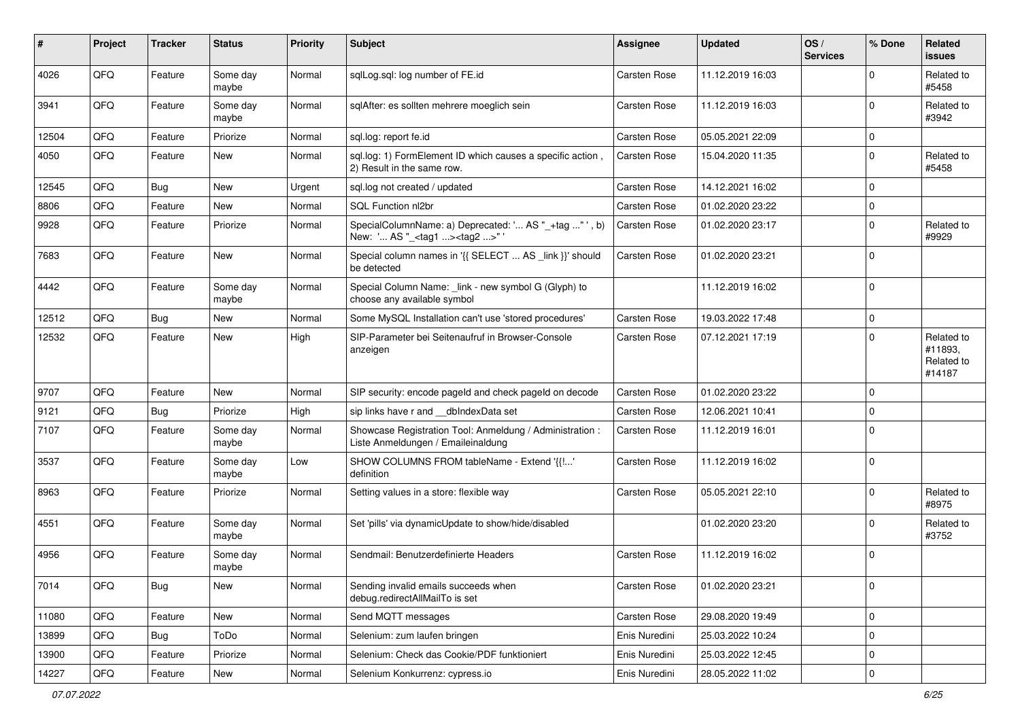| $\sharp$ | Project | <b>Tracker</b> | <b>Status</b>     | <b>Priority</b> | <b>Subject</b>                                                                                    | <b>Assignee</b> | <b>Updated</b>   | OS/<br><b>Services</b> | % Done      | Related<br>issues                             |
|----------|---------|----------------|-------------------|-----------------|---------------------------------------------------------------------------------------------------|-----------------|------------------|------------------------|-------------|-----------------------------------------------|
| 4026     | QFQ     | Feature        | Some day<br>maybe | Normal          | sqlLog.sql: log number of FE.id                                                                   | Carsten Rose    | 11.12.2019 16:03 |                        | $\Omega$    | Related to<br>#5458                           |
| 3941     | QFQ     | Feature        | Some day<br>maybe | Normal          | sglAfter: es sollten mehrere moeglich sein                                                        | Carsten Rose    | 11.12.2019 16:03 |                        | $\mathbf 0$ | Related to<br>#3942                           |
| 12504    | QFQ     | Feature        | Priorize          | Normal          | sql.log: report fe.id                                                                             | Carsten Rose    | 05.05.2021 22:09 |                        | $\mathbf 0$ |                                               |
| 4050     | QFQ     | Feature        | <b>New</b>        | Normal          | sql.log: 1) FormElement ID which causes a specific action,<br>2) Result in the same row.          | Carsten Rose    | 15.04.2020 11:35 |                        | $\Omega$    | Related to<br>#5458                           |
| 12545    | QFQ     | Bug            | <b>New</b>        | Urgent          | sql.log not created / updated                                                                     | Carsten Rose    | 14.12.2021 16:02 |                        | $\Omega$    |                                               |
| 8806     | QFQ     | Feature        | New               | Normal          | SQL Function nl2br                                                                                | Carsten Rose    | 01.02.2020 23:22 |                        | $\mathbf 0$ |                                               |
| 9928     | QFQ     | Feature        | Priorize          | Normal          | SpecialColumnName: a) Deprecated: ' AS "_+tag " ', b)<br>New: ' AS "_ <tag1><tag2>"</tag2></tag1> | Carsten Rose    | 01.02.2020 23:17 |                        | $\mathbf 0$ | Related to<br>#9929                           |
| 7683     | QFQ     | Feature        | <b>New</b>        | Normal          | Special column names in '{{ SELECT  AS _link }}' should<br>be detected                            | Carsten Rose    | 01.02.2020 23:21 |                        | $\Omega$    |                                               |
| 4442     | QFQ     | Feature        | Some day<br>maybe | Normal          | Special Column Name: _link - new symbol G (Glyph) to<br>choose any available symbol               |                 | 11.12.2019 16:02 |                        | 0           |                                               |
| 12512    | QFQ     | Bug            | <b>New</b>        | Normal          | Some MySQL Installation can't use 'stored procedures'                                             | Carsten Rose    | 19.03.2022 17:48 |                        | $\mathbf 0$ |                                               |
| 12532    | QFQ     | Feature        | New               | High            | SIP-Parameter bei Seitenaufruf in Browser-Console<br>anzeigen                                     | Carsten Rose    | 07.12.2021 17:19 |                        | $\Omega$    | Related to<br>#11893,<br>Related to<br>#14187 |
| 9707     | QFQ     | Feature        | <b>New</b>        | Normal          | SIP security: encode pageld and check pageld on decode                                            | Carsten Rose    | 01.02.2020 23:22 |                        | $\mathbf 0$ |                                               |
| 9121     | QFQ     | Bug            | Priorize          | High            | sip links have r and __dbIndexData set                                                            | Carsten Rose    | 12.06.2021 10:41 |                        | $\mathbf 0$ |                                               |
| 7107     | QFQ     | Feature        | Some day<br>maybe | Normal          | Showcase Registration Tool: Anmeldung / Administration :<br>Liste Anmeldungen / Emaileinaldung    | Carsten Rose    | 11.12.2019 16:01 |                        | $\Omega$    |                                               |
| 3537     | QFQ     | Feature        | Some day<br>maybe | Low             | SHOW COLUMNS FROM tableName - Extend '{{!'<br>definition                                          | Carsten Rose    | 11.12.2019 16:02 |                        | 0           |                                               |
| 8963     | QFQ     | Feature        | Priorize          | Normal          | Setting values in a store: flexible way                                                           | Carsten Rose    | 05.05.2021 22:10 |                        | $\Omega$    | Related to<br>#8975                           |
| 4551     | QFQ     | Feature        | Some day<br>maybe | Normal          | Set 'pills' via dynamicUpdate to show/hide/disabled                                               |                 | 01.02.2020 23:20 |                        | $\mathbf 0$ | Related to<br>#3752                           |
| 4956     | QFQ     | Feature        | Some day<br>maybe | Normal          | Sendmail: Benutzerdefinierte Headers                                                              | Carsten Rose    | 11.12.2019 16:02 |                        | 0           |                                               |
| 7014     | QFQ     | Bug            | New               | Normal          | Sending invalid emails succeeds when<br>debug.redirectAllMailTo is set                            | Carsten Rose    | 01.02.2020 23:21 |                        | 0           |                                               |
| 11080    | QFQ     | Feature        | New               | Normal          | Send MQTT messages                                                                                | Carsten Rose    | 29.08.2020 19:49 |                        | $\mathbf 0$ |                                               |
| 13899    | QFQ     | Bug            | ToDo              | Normal          | Selenium: zum laufen bringen                                                                      | Enis Nuredini   | 25.03.2022 10:24 |                        | 0           |                                               |
| 13900    | QFQ     | Feature        | Priorize          | Normal          | Selenium: Check das Cookie/PDF funktioniert                                                       | Enis Nuredini   | 25.03.2022 12:45 |                        | 0           |                                               |
| 14227    | QFG     | Feature        | New               | Normal          | Selenium Konkurrenz: cypress.io                                                                   | Enis Nuredini   | 28.05.2022 11:02 |                        | $\pmb{0}$   |                                               |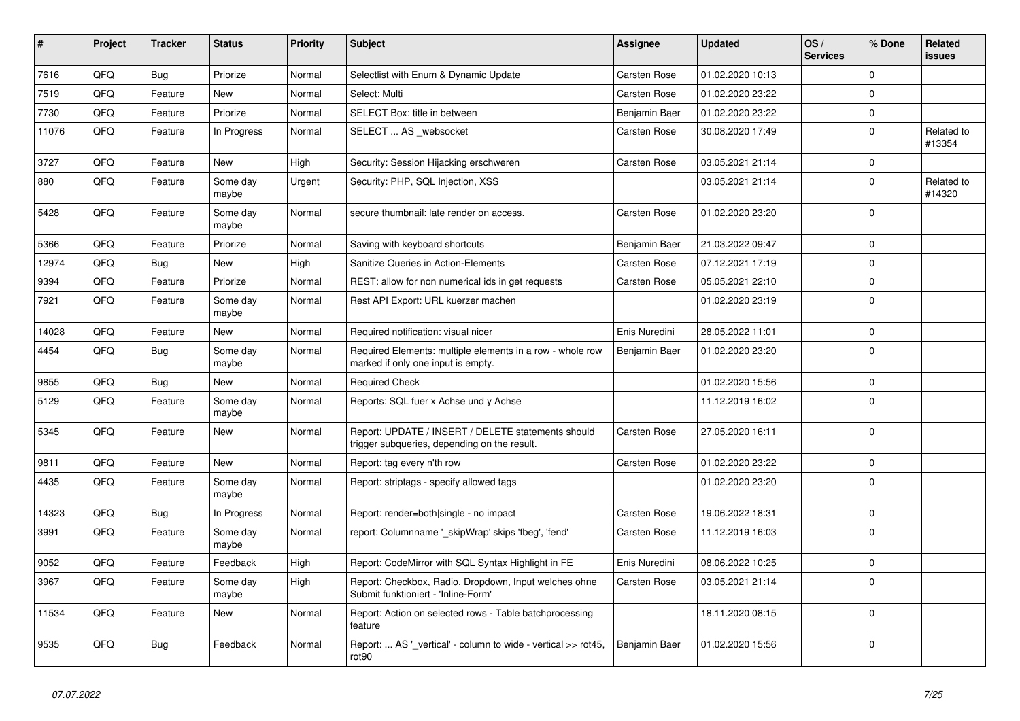| #     | Project | <b>Tracker</b> | <b>Status</b>     | <b>Priority</b> | <b>Subject</b>                                                                                     | Assignee      | Updated          | OS/<br><b>Services</b> | % Done      | Related<br>issues    |
|-------|---------|----------------|-------------------|-----------------|----------------------------------------------------------------------------------------------------|---------------|------------------|------------------------|-------------|----------------------|
| 7616  | QFQ     | Bug            | Priorize          | Normal          | Selectlist with Enum & Dynamic Update                                                              | Carsten Rose  | 01.02.2020 10:13 |                        | $\Omega$    |                      |
| 7519  | QFQ     | Feature        | <b>New</b>        | Normal          | Select: Multi                                                                                      | Carsten Rose  | 01.02.2020 23:22 |                        | $\Omega$    |                      |
| 7730  | QFQ     | Feature        | Priorize          | Normal          | SELECT Box: title in between                                                                       | Benjamin Baer | 01.02.2020 23:22 |                        | $\Omega$    |                      |
| 11076 | QFQ     | Feature        | In Progress       | Normal          | SELECT  AS websocket                                                                               | Carsten Rose  | 30.08.2020 17:49 |                        | $\Omega$    | Related to<br>#13354 |
| 3727  | QFQ     | Feature        | <b>New</b>        | High            | Security: Session Hijacking erschweren                                                             | Carsten Rose  | 03.05.2021 21:14 |                        | $\Omega$    |                      |
| 880   | QFQ     | Feature        | Some day<br>maybe | Urgent          | Security: PHP, SQL Injection, XSS                                                                  |               | 03.05.2021 21:14 |                        | $\Omega$    | Related to<br>#14320 |
| 5428  | QFQ     | Feature        | Some day<br>maybe | Normal          | secure thumbnail: late render on access.                                                           | Carsten Rose  | 01.02.2020 23:20 |                        | $\Omega$    |                      |
| 5366  | QFQ     | Feature        | Priorize          | Normal          | Saving with keyboard shortcuts                                                                     | Benjamin Baer | 21.03.2022 09:47 |                        | $\Omega$    |                      |
| 12974 | QFQ     | Bug            | New               | High            | <b>Sanitize Queries in Action-Elements</b>                                                         | Carsten Rose  | 07.12.2021 17:19 |                        | $\mathbf 0$ |                      |
| 9394  | QFQ     | Feature        | Priorize          | Normal          | REST: allow for non numerical ids in get requests                                                  | Carsten Rose  | 05.05.2021 22:10 |                        | $\mathbf 0$ |                      |
| 7921  | QFQ     | Feature        | Some day<br>maybe | Normal          | Rest API Export: URL kuerzer machen                                                                |               | 01.02.2020 23:19 |                        | $\Omega$    |                      |
| 14028 | QFQ     | Feature        | <b>New</b>        | Normal          | Required notification: visual nicer                                                                | Enis Nuredini | 28.05.2022 11:01 |                        | $\Omega$    |                      |
| 4454  | QFQ     | Bug            | Some day<br>maybe | Normal          | Required Elements: multiple elements in a row - whole row<br>marked if only one input is empty.    | Benjamin Baer | 01.02.2020 23:20 |                        | $\Omega$    |                      |
| 9855  | QFQ     | Bug            | <b>New</b>        | Normal          | <b>Required Check</b>                                                                              |               | 01.02.2020 15:56 |                        | $\Omega$    |                      |
| 5129  | QFQ     | Feature        | Some day<br>maybe | Normal          | Reports: SQL fuer x Achse und y Achse                                                              |               | 11.12.2019 16:02 |                        | $\Omega$    |                      |
| 5345  | QFQ     | Feature        | New               | Normal          | Report: UPDATE / INSERT / DELETE statements should<br>trigger subqueries, depending on the result. | Carsten Rose  | 27.05.2020 16:11 |                        | $\Omega$    |                      |
| 9811  | QFQ     | Feature        | <b>New</b>        | Normal          | Report: tag every n'th row                                                                         | Carsten Rose  | 01.02.2020 23:22 |                        | $\Omega$    |                      |
| 4435  | QFQ     | Feature        | Some day<br>maybe | Normal          | Report: striptags - specify allowed tags                                                           |               | 01.02.2020 23:20 |                        | $\Omega$    |                      |
| 14323 | QFQ     | Bug            | In Progress       | Normal          | Report: render=both single - no impact                                                             | Carsten Rose  | 19.06.2022 18:31 |                        | $\Omega$    |                      |
| 3991  | QFQ     | Feature        | Some day<br>maybe | Normal          | report: Columnname ' skipWrap' skips 'fbeg', 'fend'                                                | Carsten Rose  | 11.12.2019 16:03 |                        | $\Omega$    |                      |
| 9052  | QFQ     | Feature        | Feedback          | High            | Report: CodeMirror with SQL Syntax Highlight in FE                                                 | Enis Nuredini | 08.06.2022 10:25 |                        | $\mathbf 0$ |                      |
| 3967  | QFQ     | Feature        | Some day<br>maybe | High            | Report: Checkbox, Radio, Dropdown, Input welches ohne<br>Submit funktioniert - 'Inline-Form'       | Carsten Rose  | 03.05.2021 21:14 |                        | $\Omega$    |                      |
| 11534 | QFQ     | Feature        | New               | Normal          | Report: Action on selected rows - Table batchprocessing<br>feature                                 |               | 18.11.2020 08:15 |                        | $\Omega$    |                      |
| 9535  | QFQ     | Bug            | Feedback          | Normal          | Report:  AS '_vertical' - column to wide - vertical >> rot45,<br>rot <sub>90</sub>                 | Benjamin Baer | 01.02.2020 15:56 |                        | $\Omega$    |                      |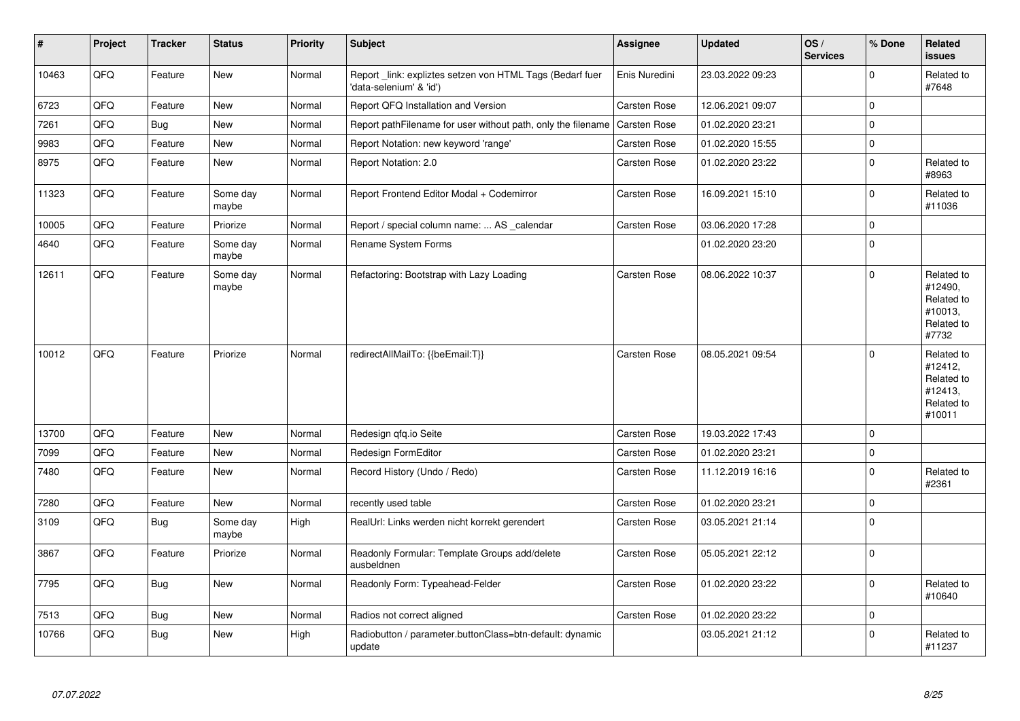| $\vert$ # | Project | <b>Tracker</b> | <b>Status</b>     | <b>Priority</b> | <b>Subject</b>                                                                      | Assignee            | <b>Updated</b>   | OS/<br><b>Services</b> | % Done      | Related<br><b>issues</b>                                               |
|-----------|---------|----------------|-------------------|-----------------|-------------------------------------------------------------------------------------|---------------------|------------------|------------------------|-------------|------------------------------------------------------------------------|
| 10463     | QFQ     | Feature        | New               | Normal          | Report_link: expliztes setzen von HTML Tags (Bedarf fuer<br>'data-selenium' & 'id') | Enis Nuredini       | 23.03.2022 09:23 |                        | $\Omega$    | Related to<br>#7648                                                    |
| 6723      | QFQ     | Feature        | <b>New</b>        | Normal          | Report QFQ Installation and Version                                                 | Carsten Rose        | 12.06.2021 09:07 |                        | $\mathbf 0$ |                                                                        |
| 7261      | QFQ     | Bug            | <b>New</b>        | Normal          | Report pathFilename for user without path, only the filename                        | <b>Carsten Rose</b> | 01.02.2020 23:21 |                        | $\mathbf 0$ |                                                                        |
| 9983      | QFQ     | Feature        | New               | Normal          | Report Notation: new keyword 'range'                                                | Carsten Rose        | 01.02.2020 15:55 |                        | $\mathbf 0$ |                                                                        |
| 8975      | QFQ     | Feature        | <b>New</b>        | Normal          | Report Notation: 2.0                                                                | Carsten Rose        | 01.02.2020 23:22 |                        | $\mathbf 0$ | Related to<br>#8963                                                    |
| 11323     | QFQ     | Feature        | Some day<br>maybe | Normal          | Report Frontend Editor Modal + Codemirror                                           | Carsten Rose        | 16.09.2021 15:10 |                        | $\Omega$    | Related to<br>#11036                                                   |
| 10005     | QFQ     | Feature        | Priorize          | Normal          | Report / special column name:  AS _calendar                                         | Carsten Rose        | 03.06.2020 17:28 |                        | $\mathbf 0$ |                                                                        |
| 4640      | QFQ     | Feature        | Some day<br>maybe | Normal          | Rename System Forms                                                                 |                     | 01.02.2020 23:20 |                        | $\Omega$    |                                                                        |
| 12611     | QFQ     | Feature        | Some day<br>maybe | Normal          | Refactoring: Bootstrap with Lazy Loading                                            | Carsten Rose        | 08.06.2022 10:37 |                        | $\Omega$    | Related to<br>#12490,<br>Related to<br>#10013.<br>Related to<br>#7732  |
| 10012     | QFQ     | Feature        | Priorize          | Normal          | redirectAllMailTo: {{beEmail:T}}                                                    | <b>Carsten Rose</b> | 08.05.2021 09:54 |                        | $\Omega$    | Related to<br>#12412,<br>Related to<br>#12413,<br>Related to<br>#10011 |
| 13700     | QFQ     | Feature        | <b>New</b>        | Normal          | Redesign qfq.io Seite                                                               | Carsten Rose        | 19.03.2022 17:43 |                        | $\Omega$    |                                                                        |
| 7099      | QFQ     | Feature        | <b>New</b>        | Normal          | Redesign FormEditor                                                                 | Carsten Rose        | 01.02.2020 23:21 |                        | $\mathbf 0$ |                                                                        |
| 7480      | QFQ     | Feature        | <b>New</b>        | Normal          | Record History (Undo / Redo)                                                        | Carsten Rose        | 11.12.2019 16:16 |                        | $\Omega$    | Related to<br>#2361                                                    |
| 7280      | QFQ     | Feature        | <b>New</b>        | Normal          | recently used table                                                                 | Carsten Rose        | 01.02.2020 23:21 |                        | $\mathbf 0$ |                                                                        |
| 3109      | QFQ     | Bug            | Some day<br>maybe | High            | RealUrl: Links werden nicht korrekt gerendert                                       | <b>Carsten Rose</b> | 03.05.2021 21:14 |                        | $\mathbf 0$ |                                                                        |
| 3867      | QFQ     | Feature        | Priorize          | Normal          | Readonly Formular: Template Groups add/delete<br>ausbeldnen                         | Carsten Rose        | 05.05.2021 22:12 |                        | $\Omega$    |                                                                        |
| 7795      | QFQ     | <b>Bug</b>     | <b>New</b>        | Normal          | Readonly Form: Typeahead-Felder                                                     | Carsten Rose        | 01.02.2020 23:22 |                        | $\Omega$    | Related to<br>#10640                                                   |
| 7513      | QFQ     | <b>Bug</b>     | <b>New</b>        | Normal          | Radios not correct aligned                                                          | <b>Carsten Rose</b> | 01.02.2020 23:22 |                        | $\Omega$    |                                                                        |
| 10766     | QFQ     | <b>Bug</b>     | <b>New</b>        | High            | Radiobutton / parameter.buttonClass=btn-default: dynamic<br>update                  |                     | 03.05.2021 21:12 |                        | $\mathbf 0$ | Related to<br>#11237                                                   |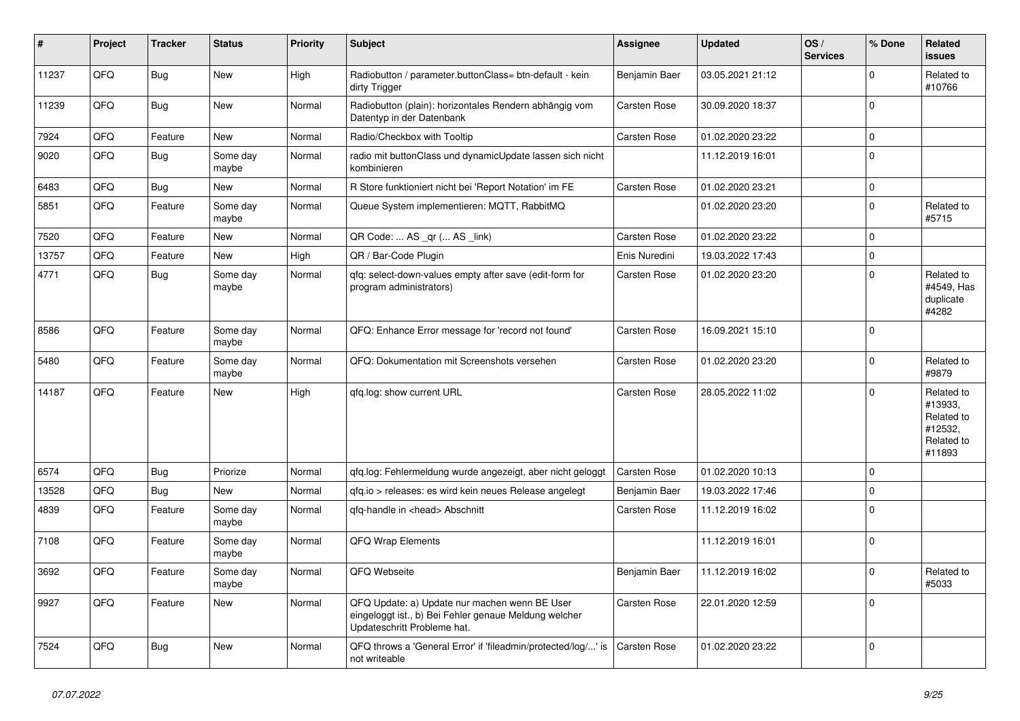| #     | Project | <b>Tracker</b> | <b>Status</b>     | <b>Priority</b> | <b>Subject</b>                                                                                                                        | Assignee            | <b>Updated</b>   | OS/<br><b>Services</b> | % Done       | Related<br><b>issues</b>                                               |
|-------|---------|----------------|-------------------|-----------------|---------------------------------------------------------------------------------------------------------------------------------------|---------------------|------------------|------------------------|--------------|------------------------------------------------------------------------|
| 11237 | QFQ     | <b>Bug</b>     | <b>New</b>        | High            | Radiobutton / parameter.buttonClass= btn-default - kein<br>dirty Trigger                                                              | Benjamin Baer       | 03.05.2021 21:12 |                        | $\Omega$     | Related to<br>#10766                                                   |
| 11239 | QFQ     | Bug            | <b>New</b>        | Normal          | Radiobutton (plain): horizontales Rendern abhängig vom<br>Datentyp in der Datenbank                                                   | Carsten Rose        | 30.09.2020 18:37 |                        | $\mathbf 0$  |                                                                        |
| 7924  | QFQ     | Feature        | <b>New</b>        | Normal          | Radio/Checkbox with Tooltip                                                                                                           | Carsten Rose        | 01.02.2020 23:22 |                        | $\Omega$     |                                                                        |
| 9020  | QFQ     | Bug            | Some day<br>maybe | Normal          | radio mit buttonClass und dynamicUpdate lassen sich nicht<br>kombinieren                                                              |                     | 11.12.2019 16:01 |                        | $\mathbf{0}$ |                                                                        |
| 6483  | QFQ     | Bug            | <b>New</b>        | Normal          | R Store funktioniert nicht bei 'Report Notation' im FE                                                                                | Carsten Rose        | 01.02.2020 23:21 |                        | $\mathbf 0$  |                                                                        |
| 5851  | QFQ     | Feature        | Some day<br>maybe | Normal          | Queue System implementieren: MQTT, RabbitMQ                                                                                           |                     | 01.02.2020 23:20 |                        | $\mathbf 0$  | Related to<br>#5715                                                    |
| 7520  | QFQ     | Feature        | <b>New</b>        | Normal          | QR Code:  AS _qr ( AS _link)                                                                                                          | Carsten Rose        | 01.02.2020 23:22 |                        | $\mathbf 0$  |                                                                        |
| 13757 | QFQ     | Feature        | <b>New</b>        | High            | QR / Bar-Code Plugin                                                                                                                  | Enis Nuredini       | 19.03.2022 17:43 |                        | $\mathbf 0$  |                                                                        |
| 4771  | QFQ     | Bug            | Some day<br>maybe | Normal          | gfg: select-down-values empty after save (edit-form for<br>program administrators)                                                    | Carsten Rose        | 01.02.2020 23:20 |                        | $\mathbf 0$  | Related to<br>#4549, Has<br>duplicate<br>#4282                         |
| 8586  | QFQ     | Feature        | Some day<br>maybe | Normal          | QFQ: Enhance Error message for 'record not found'                                                                                     | Carsten Rose        | 16.09.2021 15:10 |                        | $\Omega$     |                                                                        |
| 5480  | QFQ     | Feature        | Some day<br>maybe | Normal          | QFQ: Dokumentation mit Screenshots versehen                                                                                           | Carsten Rose        | 01.02.2020 23:20 |                        | $\mathbf 0$  | Related to<br>#9879                                                    |
| 14187 | QFQ     | Feature        | <b>New</b>        | High            | qfq.log: show current URL                                                                                                             | Carsten Rose        | 28.05.2022 11:02 |                        | $\Omega$     | Related to<br>#13933.<br>Related to<br>#12532,<br>Related to<br>#11893 |
| 6574  | QFQ     | <b>Bug</b>     | Priorize          | Normal          | qfq.log: Fehlermeldung wurde angezeigt, aber nicht geloggt                                                                            | <b>Carsten Rose</b> | 01.02.2020 10:13 |                        | $\Omega$     |                                                                        |
| 13528 | QFQ     | Bug            | <b>New</b>        | Normal          | qfq.io > releases: es wird kein neues Release angelegt                                                                                | Benjamin Baer       | 19.03.2022 17:46 |                        | $\Omega$     |                                                                        |
| 4839  | QFQ     | Feature        | Some day<br>maybe | Normal          | qfq-handle in <head> Abschnitt</head>                                                                                                 | Carsten Rose        | 11.12.2019 16:02 |                        | $\Omega$     |                                                                        |
| 7108  | QFQ     | Feature        | Some day<br>maybe | Normal          | <b>QFQ Wrap Elements</b>                                                                                                              |                     | 11.12.2019 16:01 |                        | $\Omega$     |                                                                        |
| 3692  | QFQ     | Feature        | Some day<br>maybe | Normal          | QFQ Webseite                                                                                                                          | Benjamin Baer       | 11.12.2019 16:02 |                        | $\mathbf 0$  | Related to<br>#5033                                                    |
| 9927  | QFQ     | Feature        | <b>New</b>        | Normal          | QFQ Update: a) Update nur machen wenn BE User<br>eingeloggt ist., b) Bei Fehler genaue Meldung welcher<br>Updateschritt Probleme hat. | Carsten Rose        | 22.01.2020 12:59 |                        | $\Omega$     |                                                                        |
| 7524  | QFQ     | Bug            | <b>New</b>        | Normal          | QFQ throws a 'General Error' if 'fileadmin/protected/log/' is<br>not writeable                                                        | Carsten Rose        | 01.02.2020 23:22 |                        | $\Omega$     |                                                                        |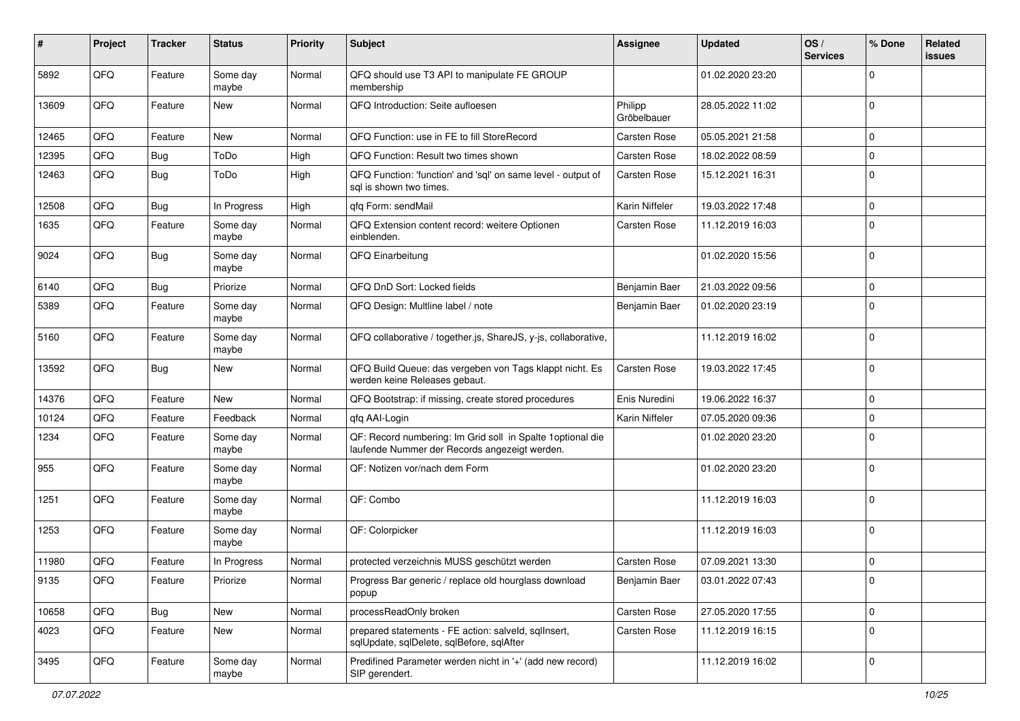| ∦     | Project | <b>Tracker</b> | <b>Status</b>     | <b>Priority</b> | <b>Subject</b>                                                                                               | <b>Assignee</b>        | <b>Updated</b>   | OS/<br><b>Services</b> | % Done      | Related<br>issues |
|-------|---------|----------------|-------------------|-----------------|--------------------------------------------------------------------------------------------------------------|------------------------|------------------|------------------------|-------------|-------------------|
| 5892  | QFQ     | Feature        | Some day<br>maybe | Normal          | QFQ should use T3 API to manipulate FE GROUP<br>membership                                                   |                        | 01.02.2020 23:20 |                        | $\Omega$    |                   |
| 13609 | QFQ     | Feature        | <b>New</b>        | Normal          | QFQ Introduction: Seite aufloesen                                                                            | Philipp<br>Gröbelbauer | 28.05.2022 11:02 |                        | $\mathbf 0$ |                   |
| 12465 | QFQ     | Feature        | New               | Normal          | QFQ Function: use in FE to fill StoreRecord                                                                  | Carsten Rose           | 05.05.2021 21:58 |                        | $\Omega$    |                   |
| 12395 | QFQ     | Bug            | ToDo              | High            | QFQ Function: Result two times shown                                                                         | Carsten Rose           | 18.02.2022 08:59 |                        | $\mathbf 0$ |                   |
| 12463 | QFQ     | Bug            | ToDo              | High            | QFQ Function: 'function' and 'sql' on same level - output of<br>sal is shown two times.                      | Carsten Rose           | 15.12.2021 16:31 |                        | $\mathbf 0$ |                   |
| 12508 | QFQ     | Bug            | In Progress       | High            | qfq Form: sendMail                                                                                           | Karin Niffeler         | 19.03.2022 17:48 |                        | $\mathbf 0$ |                   |
| 1635  | QFQ     | Feature        | Some day<br>maybe | Normal          | QFQ Extension content record: weitere Optionen<br>einblenden.                                                | Carsten Rose           | 11.12.2019 16:03 |                        | $\Omega$    |                   |
| 9024  | QFQ     | Bug            | Some day<br>maybe | Normal          | QFQ Einarbeitung                                                                                             |                        | 01.02.2020 15:56 |                        | $\mathbf 0$ |                   |
| 6140  | QFQ     | Bug            | Priorize          | Normal          | QFQ DnD Sort: Locked fields                                                                                  | Benjamin Baer          | 21.03.2022 09:56 |                        | $\mathbf 0$ |                   |
| 5389  | QFQ     | Feature        | Some day<br>maybe | Normal          | QFQ Design: Multline label / note                                                                            | Benjamin Baer          | 01.02.2020 23:19 |                        | $\Omega$    |                   |
| 5160  | QFQ     | Feature        | Some day<br>maybe | Normal          | QFQ collaborative / together.js, ShareJS, y-js, collaborative,                                               |                        | 11.12.2019 16:02 |                        | 0           |                   |
| 13592 | QFQ     | Bug            | New               | Normal          | QFQ Build Queue: das vergeben von Tags klappt nicht. Es<br>werden keine Releases gebaut.                     | Carsten Rose           | 19.03.2022 17:45 |                        | $\Omega$    |                   |
| 14376 | QFQ     | Feature        | New               | Normal          | QFQ Bootstrap: if missing, create stored procedures                                                          | Enis Nuredini          | 19.06.2022 16:37 |                        | $\mathbf 0$ |                   |
| 10124 | QFQ     | Feature        | Feedback          | Normal          | qfq AAI-Login                                                                                                | Karin Niffeler         | 07.05.2020 09:36 |                        | $\Omega$    |                   |
| 1234  | QFQ     | Feature        | Some day<br>maybe | Normal          | QF: Record numbering: Im Grid soll in Spalte 1 optional die<br>laufende Nummer der Records angezeigt werden. |                        | 01.02.2020 23:20 |                        | $\mathbf 0$ |                   |
| 955   | QFQ     | Feature        | Some day<br>maybe | Normal          | QF: Notizen vor/nach dem Form                                                                                |                        | 01.02.2020 23:20 |                        | $\mathbf 0$ |                   |
| 1251  | QFQ     | Feature        | Some day<br>maybe | Normal          | QF: Combo                                                                                                    |                        | 11.12.2019 16:03 |                        | $\Omega$    |                   |
| 1253  | QFQ     | Feature        | Some day<br>maybe | Normal          | QF: Colorpicker                                                                                              |                        | 11.12.2019 16:03 |                        | $\Omega$    |                   |
| 11980 | QFQ     | Feature        | In Progress       | Normal          | protected verzeichnis MUSS geschützt werden                                                                  | Carsten Rose           | 07.09.2021 13:30 |                        | $\Omega$    |                   |
| 9135  | QFQ     | Feature        | Priorize          | Normal          | Progress Bar generic / replace old hourglass download<br>popup                                               | Benjamin Baer          | 03.01.2022 07:43 |                        | l 0         |                   |
| 10658 | QFQ     | <b>Bug</b>     | New               | Normal          | processReadOnly broken                                                                                       | Carsten Rose           | 27.05.2020 17:55 |                        | $\mathbf 0$ |                   |
| 4023  | QFQ     | Feature        | New               | Normal          | prepared statements - FE action: salveld, sqlInsert,<br>sqlUpdate, sqlDelete, sqlBefore, sqlAfter            | Carsten Rose           | 11.12.2019 16:15 |                        | $\mathbf 0$ |                   |
| 3495  | QFQ     | Feature        | Some day<br>maybe | Normal          | Predifined Parameter werden nicht in '+' (add new record)<br>SIP gerendert.                                  |                        | 11.12.2019 16:02 |                        | 0           |                   |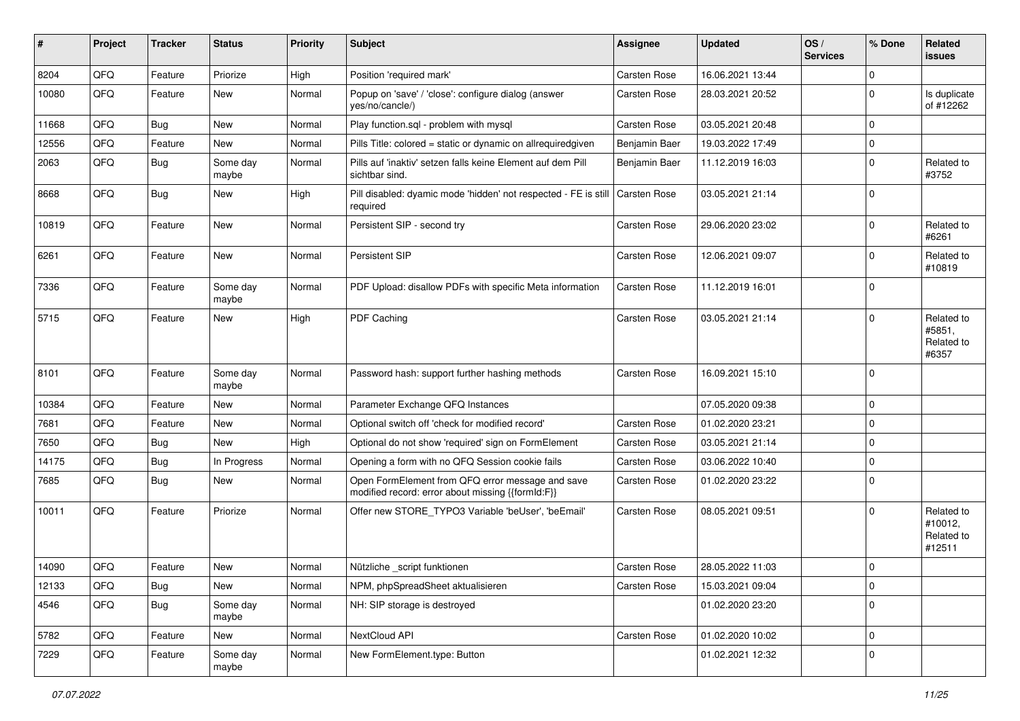| #     | Project | <b>Tracker</b> | <b>Status</b>     | <b>Priority</b> | Subject                                                                                               | <b>Assignee</b>     | <b>Updated</b>   | OS/<br><b>Services</b> | % Done      | Related<br>issues                             |
|-------|---------|----------------|-------------------|-----------------|-------------------------------------------------------------------------------------------------------|---------------------|------------------|------------------------|-------------|-----------------------------------------------|
| 8204  | QFQ     | Feature        | Priorize          | High            | Position 'required mark'                                                                              | Carsten Rose        | 16.06.2021 13:44 |                        | $\mathbf 0$ |                                               |
| 10080 | QFQ     | Feature        | New               | Normal          | Popup on 'save' / 'close': configure dialog (answer<br>yes/no/cancle/)                                | Carsten Rose        | 28.03.2021 20:52 |                        | $\mathbf 0$ | Is duplicate<br>of #12262                     |
| 11668 | QFQ     | Bug            | <b>New</b>        | Normal          | Play function.sql - problem with mysql                                                                | Carsten Rose        | 03.05.2021 20:48 |                        | $\mathbf 0$ |                                               |
| 12556 | QFQ     | Feature        | New               | Normal          | Pills Title: colored = static or dynamic on allrequiredgiven                                          | Benjamin Baer       | 19.03.2022 17:49 |                        | $\Omega$    |                                               |
| 2063  | QFQ     | Bug            | Some day<br>maybe | Normal          | Pills auf 'inaktiv' setzen falls keine Element auf dem Pill<br>sichtbar sind.                         | Benjamin Baer       | 11.12.2019 16:03 |                        | $\Omega$    | Related to<br>#3752                           |
| 8668  | QFQ     | Bug            | New               | High            | Pill disabled: dyamic mode 'hidden' not respected - FE is still<br>required                           | Carsten Rose        | 03.05.2021 21:14 |                        | $\Omega$    |                                               |
| 10819 | QFQ     | Feature        | New               | Normal          | Persistent SIP - second try                                                                           | Carsten Rose        | 29.06.2020 23:02 |                        | $\Omega$    | Related to<br>#6261                           |
| 6261  | QFQ     | Feature        | New               | Normal          | Persistent SIP                                                                                        | Carsten Rose        | 12.06.2021 09:07 |                        | $\Omega$    | Related to<br>#10819                          |
| 7336  | QFQ     | Feature        | Some day<br>maybe | Normal          | PDF Upload: disallow PDFs with specific Meta information                                              | Carsten Rose        | 11.12.2019 16:01 |                        | $\mathbf 0$ |                                               |
| 5715  | QFQ     | Feature        | New               | High            | PDF Caching                                                                                           | Carsten Rose        | 03.05.2021 21:14 |                        | $\Omega$    | Related to<br>#5851,<br>Related to<br>#6357   |
| 8101  | QFQ     | Feature        | Some day<br>maybe | Normal          | Password hash: support further hashing methods                                                        | Carsten Rose        | 16.09.2021 15:10 |                        | $\Omega$    |                                               |
| 10384 | QFQ     | Feature        | <b>New</b>        | Normal          | Parameter Exchange QFQ Instances                                                                      |                     | 07.05.2020 09:38 |                        | $\mathbf 0$ |                                               |
| 7681  | QFQ     | Feature        | <b>New</b>        | Normal          | Optional switch off 'check for modified record'                                                       | Carsten Rose        | 01.02.2020 23:21 |                        | $\mathbf 0$ |                                               |
| 7650  | QFQ     | Bug            | New               | High            | Optional do not show 'required' sign on FormElement                                                   | Carsten Rose        | 03.05.2021 21:14 |                        | $\mathbf 0$ |                                               |
| 14175 | QFQ     | Bug            | In Progress       | Normal          | Opening a form with no QFQ Session cookie fails                                                       | Carsten Rose        | 03.06.2022 10:40 |                        | $\mathbf 0$ |                                               |
| 7685  | QFQ     | Bug            | New               | Normal          | Open FormElement from QFQ error message and save<br>modified record: error about missing {{formId:F}} | Carsten Rose        | 01.02.2020 23:22 |                        | $\mathbf 0$ |                                               |
| 10011 | QFQ     | Feature        | Priorize          | Normal          | Offer new STORE_TYPO3 Variable 'beUser', 'beEmail'                                                    | Carsten Rose        | 08.05.2021 09:51 |                        | $\Omega$    | Related to<br>#10012,<br>Related to<br>#12511 |
| 14090 | QFQ     | Feature        | New               | Normal          | Nützliche _script funktionen                                                                          | <b>Carsten Rose</b> | 28.05.2022 11:03 |                        | 0           |                                               |
| 12133 | QFG     | <b>Bug</b>     | New               | Normal          | NPM, phpSpreadSheet aktualisieren                                                                     | Carsten Rose        | 15.03.2021 09:04 |                        | 0           |                                               |
| 4546  | QFQ     | Bug            | Some day<br>maybe | Normal          | NH: SIP storage is destroyed                                                                          |                     | 01.02.2020 23:20 |                        | 0           |                                               |
| 5782  | QFQ     | Feature        | New               | Normal          | NextCloud API                                                                                         | Carsten Rose        | 01.02.2020 10:02 |                        | $\mathbf 0$ |                                               |
| 7229  | QFQ     | Feature        | Some day<br>maybe | Normal          | New FormElement.type: Button                                                                          |                     | 01.02.2021 12:32 |                        | 0           |                                               |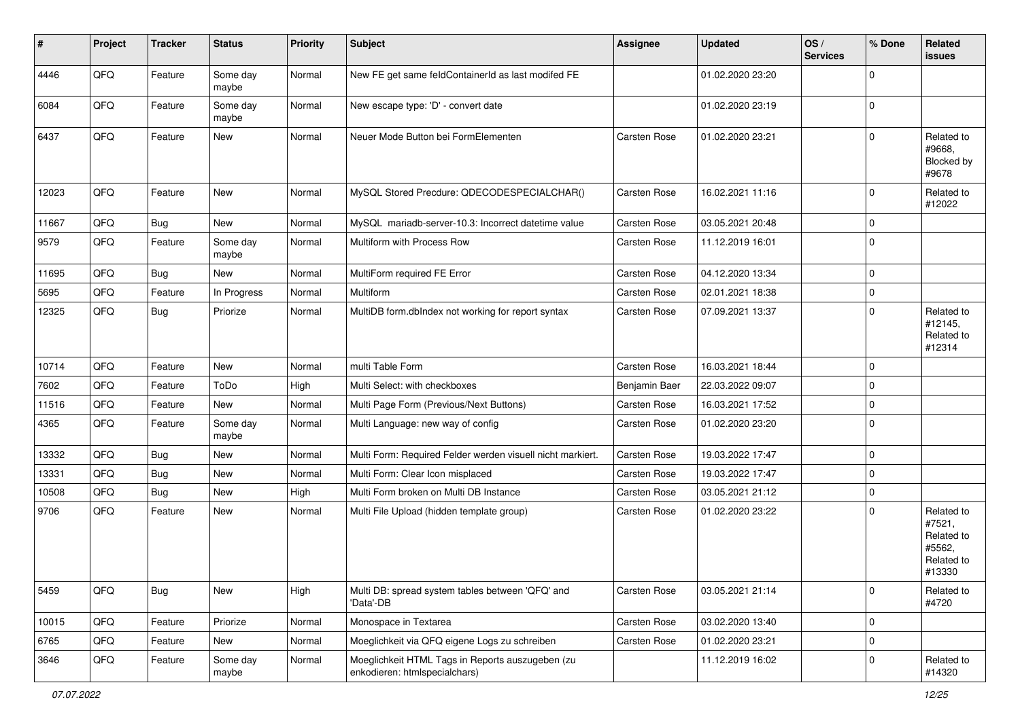| #     | Project | <b>Tracker</b> | <b>Status</b>     | <b>Priority</b> | <b>Subject</b>                                                                    | <b>Assignee</b> | <b>Updated</b>   | OS/<br><b>Services</b> | % Done      | Related<br><b>issues</b>                                             |
|-------|---------|----------------|-------------------|-----------------|-----------------------------------------------------------------------------------|-----------------|------------------|------------------------|-------------|----------------------------------------------------------------------|
| 4446  | QFQ     | Feature        | Some day<br>maybe | Normal          | New FE get same feldContainerId as last modifed FE                                |                 | 01.02.2020 23:20 |                        | $\Omega$    |                                                                      |
| 6084  | QFQ     | Feature        | Some day<br>maybe | Normal          | New escape type: 'D' - convert date                                               |                 | 01.02.2020 23:19 |                        | 0           |                                                                      |
| 6437  | QFQ     | Feature        | New               | Normal          | Neuer Mode Button bei FormElementen                                               | Carsten Rose    | 01.02.2020 23:21 |                        | $\Omega$    | Related to<br>#9668,<br>Blocked by<br>#9678                          |
| 12023 | QFQ     | Feature        | <b>New</b>        | Normal          | MySQL Stored Precdure: QDECODESPECIALCHAR()                                       | Carsten Rose    | 16.02.2021 11:16 |                        | $\mathbf 0$ | Related to<br>#12022                                                 |
| 11667 | QFQ     | Bug            | New               | Normal          | MySQL mariadb-server-10.3: Incorrect datetime value                               | Carsten Rose    | 03.05.2021 20:48 |                        | $\Omega$    |                                                                      |
| 9579  | QFQ     | Feature        | Some day<br>maybe | Normal          | Multiform with Process Row                                                        | Carsten Rose    | 11.12.2019 16:01 |                        | $\mathbf 0$ |                                                                      |
| 11695 | QFQ     | <b>Bug</b>     | New               | Normal          | MultiForm required FE Error                                                       | Carsten Rose    | 04.12.2020 13:34 |                        | $\Omega$    |                                                                      |
| 5695  | QFQ     | Feature        | In Progress       | Normal          | Multiform                                                                         | Carsten Rose    | 02.01.2021 18:38 |                        | $\mathbf 0$ |                                                                      |
| 12325 | QFQ     | <b>Bug</b>     | Priorize          | Normal          | MultiDB form.dblndex not working for report syntax                                | Carsten Rose    | 07.09.2021 13:37 |                        | $\Omega$    | Related to<br>#12145,<br>Related to<br>#12314                        |
| 10714 | QFQ     | Feature        | <b>New</b>        | Normal          | multi Table Form                                                                  | Carsten Rose    | 16.03.2021 18:44 |                        | $\mathbf 0$ |                                                                      |
| 7602  | QFQ     | Feature        | ToDo              | High            | Multi Select: with checkboxes                                                     | Benjamin Baer   | 22.03.2022 09:07 |                        | $\mathbf 0$ |                                                                      |
| 11516 | QFQ     | Feature        | New               | Normal          | Multi Page Form (Previous/Next Buttons)                                           | Carsten Rose    | 16.03.2021 17:52 |                        | $\Omega$    |                                                                      |
| 4365  | QFQ     | Feature        | Some day<br>maybe | Normal          | Multi Language: new way of config                                                 | Carsten Rose    | 01.02.2020 23:20 |                        | 0           |                                                                      |
| 13332 | QFQ     | Bug            | New               | Normal          | Multi Form: Required Felder werden visuell nicht markiert.                        | Carsten Rose    | 19.03.2022 17:47 |                        | $\mathbf 0$ |                                                                      |
| 13331 | QFQ     | <b>Bug</b>     | New               | Normal          | Multi Form: Clear Icon misplaced                                                  | Carsten Rose    | 19.03.2022 17:47 |                        | $\mathbf 0$ |                                                                      |
| 10508 | QFQ     | Bug            | New               | High            | Multi Form broken on Multi DB Instance                                            | Carsten Rose    | 03.05.2021 21:12 |                        | $\mathbf 0$ |                                                                      |
| 9706  | QFQ     | Feature        | New               | Normal          | Multi File Upload (hidden template group)                                         | Carsten Rose    | 01.02.2020 23:22 |                        | $\Omega$    | Related to<br>#7521,<br>Related to<br>#5562,<br>Related to<br>#13330 |
| 5459  | QFQ     | Bug            | New               | High            | Multi DB: spread system tables between 'QFQ' and<br>'Data'-DB                     | Carsten Rose    | 03.05.2021 21:14 |                        | 0           | Related to<br>#4720                                                  |
| 10015 | QFQ     | Feature        | Priorize          | Normal          | Monospace in Textarea                                                             | Carsten Rose    | 03.02.2020 13:40 |                        | $\mathbf 0$ |                                                                      |
| 6765  | QFQ     | Feature        | New               | Normal          | Moeglichkeit via QFQ eigene Logs zu schreiben                                     | Carsten Rose    | 01.02.2020 23:21 |                        | $\mathbf 0$ |                                                                      |
| 3646  | QFQ     | Feature        | Some day<br>maybe | Normal          | Moeglichkeit HTML Tags in Reports auszugeben (zu<br>enkodieren: htmlspecialchars) |                 | 11.12.2019 16:02 |                        | $\mathbf 0$ | Related to<br>#14320                                                 |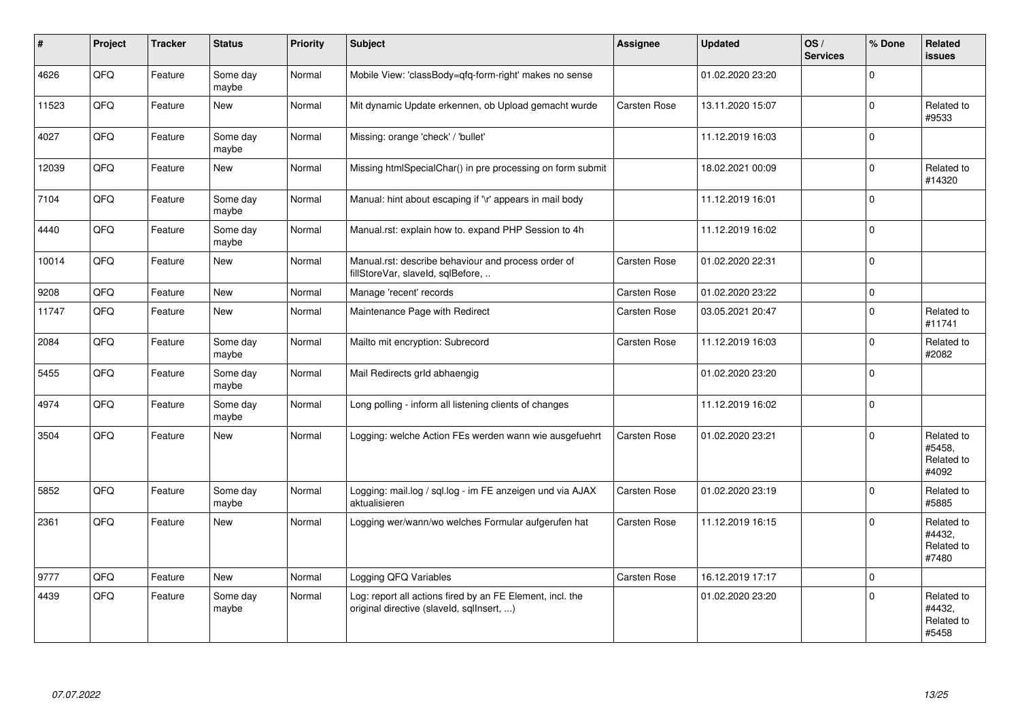| ∦     | Project | <b>Tracker</b> | <b>Status</b>     | <b>Priority</b> | <b>Subject</b>                                                                                         | Assignee     | <b>Updated</b>   | OS/<br><b>Services</b> | % Done      | Related<br>issues                           |
|-------|---------|----------------|-------------------|-----------------|--------------------------------------------------------------------------------------------------------|--------------|------------------|------------------------|-------------|---------------------------------------------|
| 4626  | QFQ     | Feature        | Some day<br>maybe | Normal          | Mobile View: 'classBody=qfq-form-right' makes no sense                                                 |              | 01.02.2020 23:20 |                        | $\Omega$    |                                             |
| 11523 | QFQ     | Feature        | <b>New</b>        | Normal          | Mit dynamic Update erkennen, ob Upload gemacht wurde                                                   | Carsten Rose | 13.11.2020 15:07 |                        | $\Omega$    | Related to<br>#9533                         |
| 4027  | QFQ     | Feature        | Some day<br>maybe | Normal          | Missing: orange 'check' / 'bullet'                                                                     |              | 11.12.2019 16:03 |                        | $\Omega$    |                                             |
| 12039 | QFQ     | Feature        | <b>New</b>        | Normal          | Missing htmlSpecialChar() in pre processing on form submit                                             |              | 18.02.2021 00:09 |                        | $\mathbf 0$ | Related to<br>#14320                        |
| 7104  | QFQ     | Feature        | Some day<br>maybe | Normal          | Manual: hint about escaping if '\r' appears in mail body                                               |              | 11.12.2019 16:01 |                        | $\Omega$    |                                             |
| 4440  | QFQ     | Feature        | Some day<br>maybe | Normal          | Manual.rst: explain how to. expand PHP Session to 4h                                                   |              | 11.12.2019 16:02 |                        | $\Omega$    |                                             |
| 10014 | QFQ     | Feature        | New               | Normal          | Manual.rst: describe behaviour and process order of<br>fillStoreVar, slaveId, sqlBefore,               | Carsten Rose | 01.02.2020 22:31 |                        | $\Omega$    |                                             |
| 9208  | QFQ     | Feature        | <b>New</b>        | Normal          | Manage 'recent' records                                                                                | Carsten Rose | 01.02.2020 23:22 |                        | $\mathbf 0$ |                                             |
| 11747 | QFQ     | Feature        | New               | Normal          | Maintenance Page with Redirect                                                                         | Carsten Rose | 03.05.2021 20:47 |                        | $\Omega$    | Related to<br>#11741                        |
| 2084  | QFQ     | Feature        | Some day<br>maybe | Normal          | Mailto mit encryption: Subrecord                                                                       | Carsten Rose | 11.12.2019 16:03 |                        | $\Omega$    | Related to<br>#2082                         |
| 5455  | QFQ     | Feature        | Some day<br>maybe | Normal          | Mail Redirects grld abhaengig                                                                          |              | 01.02.2020 23:20 |                        | $\mathbf 0$ |                                             |
| 4974  | QFQ     | Feature        | Some day<br>maybe | Normal          | Long polling - inform all listening clients of changes                                                 |              | 11.12.2019 16:02 |                        | 0           |                                             |
| 3504  | QFQ     | Feature        | <b>New</b>        | Normal          | Logging: welche Action FEs werden wann wie ausgefuehrt                                                 | Carsten Rose | 01.02.2020 23:21 |                        | $\Omega$    | Related to<br>#5458,<br>Related to<br>#4092 |
| 5852  | QFQ     | Feature        | Some day<br>maybe | Normal          | Logging: mail.log / sql.log - im FE anzeigen und via AJAX<br>aktualisieren                             | Carsten Rose | 01.02.2020 23:19 |                        | $\Omega$    | Related to<br>#5885                         |
| 2361  | QFQ     | Feature        | New               | Normal          | Logging wer/wann/wo welches Formular aufgerufen hat                                                    | Carsten Rose | 11.12.2019 16:15 |                        | $\Omega$    | Related to<br>#4432.<br>Related to<br>#7480 |
| 9777  | QFQ     | Feature        | <b>New</b>        | Normal          | Logging QFQ Variables                                                                                  | Carsten Rose | 16.12.2019 17:17 |                        | $\Omega$    |                                             |
| 4439  | QFQ     | Feature        | Some day<br>maybe | Normal          | Log: report all actions fired by an FE Element, incl. the<br>original directive (slaveld, sqllnsert, ) |              | 01.02.2020 23:20 |                        | $\Omega$    | Related to<br>#4432,<br>Related to<br>#5458 |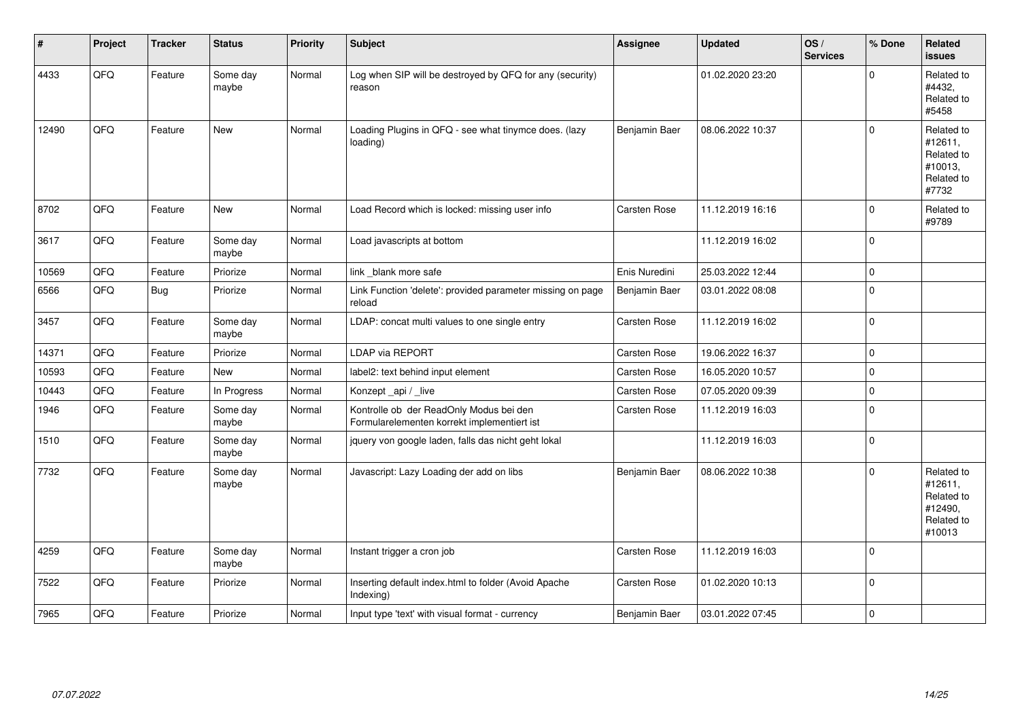| #     | Project | <b>Tracker</b> | <b>Status</b>     | <b>Priority</b> | <b>Subject</b>                                                                         | Assignee            | <b>Updated</b>   | OS/<br><b>Services</b> | % Done         | Related<br><b>issues</b>                                               |
|-------|---------|----------------|-------------------|-----------------|----------------------------------------------------------------------------------------|---------------------|------------------|------------------------|----------------|------------------------------------------------------------------------|
| 4433  | QFQ     | Feature        | Some day<br>maybe | Normal          | Log when SIP will be destroyed by QFQ for any (security)<br>reason                     |                     | 01.02.2020 23:20 |                        | $\Omega$       | Related to<br>#4432,<br>Related to<br>#5458                            |
| 12490 | QFQ     | Feature        | <b>New</b>        | Normal          | Loading Plugins in QFQ - see what tinymce does. (lazy<br>loading)                      | Benjamin Baer       | 08.06.2022 10:37 |                        | $\Omega$       | Related to<br>#12611,<br>Related to<br>#10013,<br>Related to<br>#7732  |
| 8702  | QFQ     | Feature        | <b>New</b>        | Normal          | Load Record which is locked: missing user info                                         | <b>Carsten Rose</b> | 11.12.2019 16:16 |                        | $\mathbf 0$    | Related to<br>#9789                                                    |
| 3617  | QFQ     | Feature        | Some day<br>maybe | Normal          | Load javascripts at bottom                                                             |                     | 11.12.2019 16:02 |                        | $\Omega$       |                                                                        |
| 10569 | QFQ     | Feature        | Priorize          | Normal          | link blank more safe                                                                   | Enis Nuredini       | 25.03.2022 12:44 |                        | $\Omega$       |                                                                        |
| 6566  | QFQ     | Bug            | Priorize          | Normal          | Link Function 'delete': provided parameter missing on page<br>reload                   | Benjamin Baer       | 03.01.2022 08:08 |                        | $\Omega$       |                                                                        |
| 3457  | QFQ     | Feature        | Some day<br>maybe | Normal          | LDAP: concat multi values to one single entry                                          | Carsten Rose        | 11.12.2019 16:02 |                        | $\mathbf 0$    |                                                                        |
| 14371 | QFQ     | Feature        | Priorize          | Normal          | <b>LDAP via REPORT</b>                                                                 | Carsten Rose        | 19.06.2022 16:37 |                        | $\mathbf 0$    |                                                                        |
| 10593 | QFQ     | Feature        | New               | Normal          | label2: text behind input element                                                      | Carsten Rose        | 16.05.2020 10:57 |                        | $\mathbf 0$    |                                                                        |
| 10443 | QFQ     | Feature        | In Progress       | Normal          | Konzept_api / _live                                                                    | Carsten Rose        | 07.05.2020 09:39 |                        | $\mathbf 0$    |                                                                        |
| 1946  | QFQ     | Feature        | Some day<br>maybe | Normal          | Kontrolle ob der ReadOnly Modus bei den<br>Formularelementen korrekt implementiert ist | Carsten Rose        | 11.12.2019 16:03 |                        | $\overline{0}$ |                                                                        |
| 1510  | QFQ     | Feature        | Some day<br>maybe | Normal          | jquery von google laden, falls das nicht geht lokal                                    |                     | 11.12.2019 16:03 |                        | 0 l            |                                                                        |
| 7732  | QFQ     | Feature        | Some day<br>maybe | Normal          | Javascript: Lazy Loading der add on libs                                               | Benjamin Baer       | 08.06.2022 10:38 |                        | $\Omega$       | Related to<br>#12611,<br>Related to<br>#12490,<br>Related to<br>#10013 |
| 4259  | QFQ     | Feature        | Some day<br>maybe | Normal          | Instant trigger a cron job                                                             | Carsten Rose        | 11.12.2019 16:03 |                        | 0              |                                                                        |
| 7522  | QFQ     | Feature        | Priorize          | Normal          | Inserting default index.html to folder (Avoid Apache<br>Indexing)                      | Carsten Rose        | 01.02.2020 10:13 |                        | $\overline{0}$ |                                                                        |
| 7965  | QFQ     | Feature        | Priorize          | Normal          | Input type 'text' with visual format - currency                                        | Benjamin Baer       | 03.01.2022 07:45 |                        | 0              |                                                                        |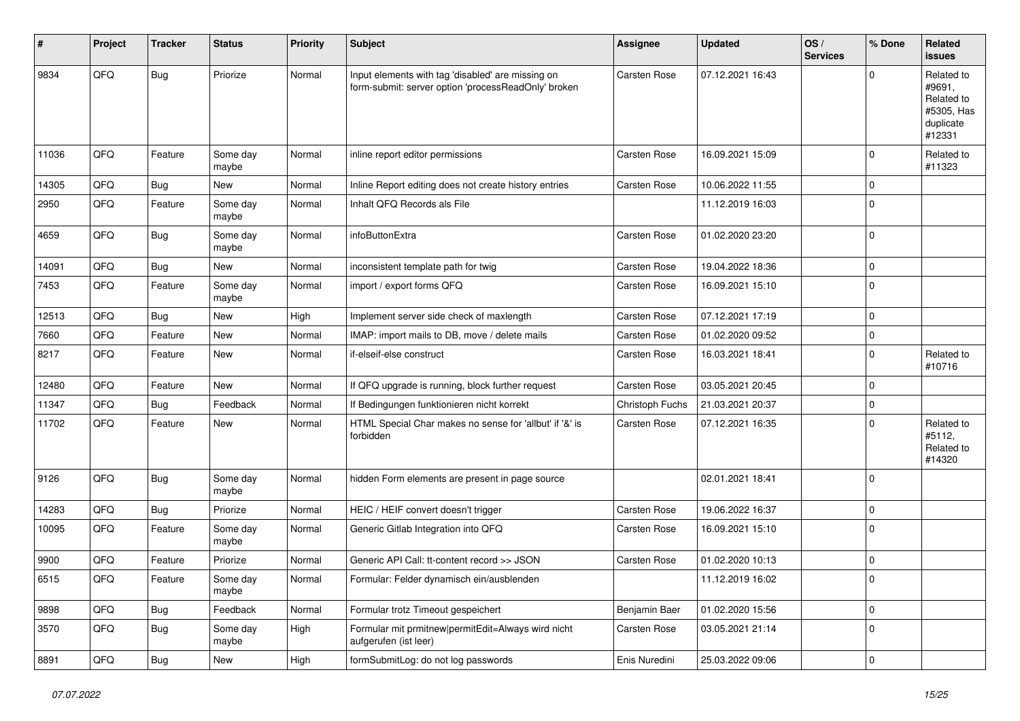| #     | Project | <b>Tracker</b> | <b>Status</b>     | <b>Priority</b> | <b>Subject</b>                                                                                           | <b>Assignee</b>     | <b>Updated</b>   | OS/<br><b>Services</b> | % Done      | Related<br>issues                                                       |
|-------|---------|----------------|-------------------|-----------------|----------------------------------------------------------------------------------------------------------|---------------------|------------------|------------------------|-------------|-------------------------------------------------------------------------|
| 9834  | QFQ     | Bug            | Priorize          | Normal          | Input elements with tag 'disabled' are missing on<br>form-submit: server option 'processReadOnly' broken | <b>Carsten Rose</b> | 07.12.2021 16:43 |                        | $\Omega$    | Related to<br>#9691,<br>Related to<br>#5305, Has<br>duplicate<br>#12331 |
| 11036 | QFQ     | Feature        | Some day<br>maybe | Normal          | inline report editor permissions                                                                         | Carsten Rose        | 16.09.2021 15:09 |                        | $\Omega$    | Related to<br>#11323                                                    |
| 14305 | QFQ     | Bug            | New               | Normal          | Inline Report editing does not create history entries                                                    | <b>Carsten Rose</b> | 10.06.2022 11:55 |                        | $\mathbf 0$ |                                                                         |
| 2950  | QFQ     | Feature        | Some day<br>maybe | Normal          | Inhalt QFQ Records als File                                                                              |                     | 11.12.2019 16:03 |                        | $\Omega$    |                                                                         |
| 4659  | QFQ     | Bug            | Some day<br>maybe | Normal          | infoButtonExtra                                                                                          | <b>Carsten Rose</b> | 01.02.2020 23:20 |                        | $\Omega$    |                                                                         |
| 14091 | QFQ     | <b>Bug</b>     | New               | Normal          | inconsistent template path for twig                                                                      | Carsten Rose        | 19.04.2022 18:36 |                        | $\Omega$    |                                                                         |
| 7453  | QFQ     | Feature        | Some day<br>maybe | Normal          | import / export forms QFQ                                                                                | Carsten Rose        | 16.09.2021 15:10 |                        | $\Omega$    |                                                                         |
| 12513 | QFQ     | Bug            | New               | High            | Implement server side check of maxlength                                                                 | Carsten Rose        | 07.12.2021 17:19 |                        | $\Omega$    |                                                                         |
| 7660  | QFQ     | Feature        | New               | Normal          | IMAP: import mails to DB, move / delete mails                                                            | Carsten Rose        | 01.02.2020 09:52 |                        | $\mathbf 0$ |                                                                         |
| 8217  | QFQ     | Feature        | New               | Normal          | if-elseif-else construct                                                                                 | Carsten Rose        | 16.03.2021 18:41 |                        | $\Omega$    | Related to<br>#10716                                                    |
| 12480 | QFQ     | Feature        | New               | Normal          | If QFQ upgrade is running, block further request                                                         | Carsten Rose        | 03.05.2021 20:45 |                        | $\mathbf 0$ |                                                                         |
| 11347 | QFQ     | Bug            | Feedback          | Normal          | If Bedingungen funktionieren nicht korrekt                                                               | Christoph Fuchs     | 21.03.2021 20:37 |                        | $\mathbf 0$ |                                                                         |
| 11702 | QFQ     | Feature        | New               | Normal          | HTML Special Char makes no sense for 'allbut' if '&' is<br>forbidden                                     | Carsten Rose        | 07.12.2021 16:35 |                        | $\Omega$    | Related to<br>#5112,<br>Related to<br>#14320                            |
| 9126  | QFQ     | Bug            | Some day<br>maybe | Normal          | hidden Form elements are present in page source                                                          |                     | 02.01.2021 18:41 |                        | $\Omega$    |                                                                         |
| 14283 | QFQ     | Bug            | Priorize          | Normal          | HEIC / HEIF convert doesn't trigger                                                                      | <b>Carsten Rose</b> | 19.06.2022 16:37 |                        | $\mathbf 0$ |                                                                         |
| 10095 | QFQ     | Feature        | Some day<br>maybe | Normal          | Generic Gitlab Integration into QFQ                                                                      | Carsten Rose        | 16.09.2021 15:10 |                        | $\Omega$    |                                                                         |
| 9900  | QFQ     | Feature        | Priorize          | Normal          | Generic API Call: tt-content record >> JSON                                                              | Carsten Rose        | 01.02.2020 10:13 |                        | $\mathbf 0$ |                                                                         |
| 6515  | QFQ     | Feature        | Some day<br>maybe | Normal          | Formular: Felder dynamisch ein/ausblenden                                                                |                     | 11.12.2019 16:02 |                        | O           |                                                                         |
| 9898  | QFQ     | Bug            | Feedback          | Normal          | Formular trotz Timeout gespeichert                                                                       | Benjamin Baer       | 01.02.2020 15:56 |                        | 0           |                                                                         |
| 3570  | QFQ     | Bug            | Some day<br>maybe | High            | Formular mit prmitnew permitEdit=Always wird nicht<br>aufgerufen (ist leer)                              | Carsten Rose        | 03.05.2021 21:14 |                        | $\mathbf 0$ |                                                                         |
| 8891  | QFQ     | <b>Bug</b>     | New               | High            | formSubmitLog: do not log passwords                                                                      | Enis Nuredini       | 25.03.2022 09:06 |                        | 0           |                                                                         |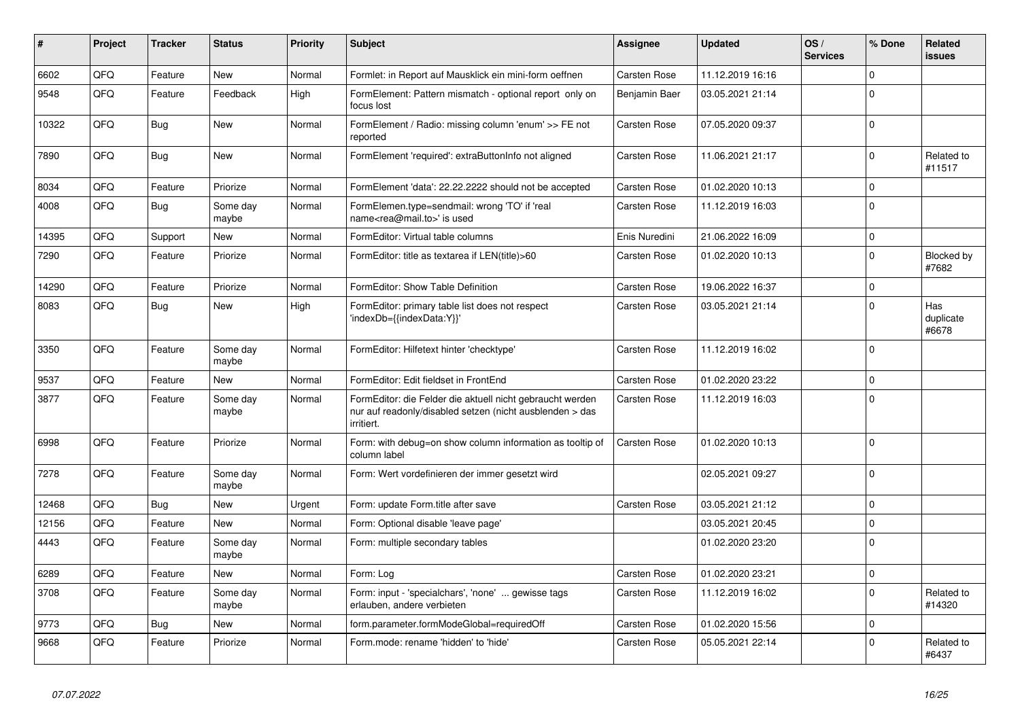| #     | Project | <b>Tracker</b> | <b>Status</b>     | <b>Priority</b> | <b>Subject</b>                                                                                                                      | Assignee            | <b>Updated</b>   | OS/<br><b>Services</b> | % Done      | Related<br>issues         |
|-------|---------|----------------|-------------------|-----------------|-------------------------------------------------------------------------------------------------------------------------------------|---------------------|------------------|------------------------|-------------|---------------------------|
| 6602  | QFQ     | Feature        | <b>New</b>        | Normal          | Formlet: in Report auf Mausklick ein mini-form oeffnen                                                                              | Carsten Rose        | 11.12.2019 16:16 |                        | $\Omega$    |                           |
| 9548  | QFQ     | Feature        | Feedback          | High            | FormElement: Pattern mismatch - optional report only on<br>focus lost                                                               | Benjamin Baer       | 03.05.2021 21:14 |                        | $\Omega$    |                           |
| 10322 | QFQ     | Bug            | <b>New</b>        | Normal          | FormElement / Radio: missing column 'enum' >> FE not<br>reported                                                                    | Carsten Rose        | 07.05.2020 09:37 |                        | $\Omega$    |                           |
| 7890  | QFQ     | Bug            | <b>New</b>        | Normal          | FormElement 'required': extraButtonInfo not aligned                                                                                 | <b>Carsten Rose</b> | 11.06.2021 21:17 |                        | $\Omega$    | Related to<br>#11517      |
| 8034  | QFQ     | Feature        | Priorize          | Normal          | FormElement 'data': 22.22.2222 should not be accepted                                                                               | Carsten Rose        | 01.02.2020 10:13 |                        | $\mathbf 0$ |                           |
| 4008  | QFQ     | Bug            | Some day<br>maybe | Normal          | FormElemen.type=sendmail: wrong 'TO' if 'real<br>name <rea@mail.to>' is used</rea@mail.to>                                          | Carsten Rose        | 11.12.2019 16:03 |                        | $\Omega$    |                           |
| 14395 | QFQ     | Support        | <b>New</b>        | Normal          | FormEditor: Virtual table columns                                                                                                   | Enis Nuredini       | 21.06.2022 16:09 |                        | $\Omega$    |                           |
| 7290  | QFQ     | Feature        | Priorize          | Normal          | FormEditor: title as textarea if LEN(title)>60                                                                                      | Carsten Rose        | 01.02.2020 10:13 |                        | $\Omega$    | Blocked by<br>#7682       |
| 14290 | QFQ     | Feature        | Priorize          | Normal          | FormEditor: Show Table Definition                                                                                                   | Carsten Rose        | 19.06.2022 16:37 |                        | $\Omega$    |                           |
| 8083  | QFQ     | <b>Bug</b>     | <b>New</b>        | High            | FormEditor: primary table list does not respect<br>'indexDb={{indexData:Y}}'                                                        | Carsten Rose        | 03.05.2021 21:14 |                        | $\Omega$    | Has<br>duplicate<br>#6678 |
| 3350  | QFQ     | Feature        | Some day<br>maybe | Normal          | FormEditor: Hilfetext hinter 'checktype'                                                                                            | Carsten Rose        | 11.12.2019 16:02 |                        | $\Omega$    |                           |
| 9537  | QFQ     | Feature        | <b>New</b>        | Normal          | FormEditor: Edit fieldset in FrontEnd                                                                                               | Carsten Rose        | 01.02.2020 23:22 |                        | $\Omega$    |                           |
| 3877  | QFQ     | Feature        | Some day<br>maybe | Normal          | FormEditor: die Felder die aktuell nicht gebraucht werden<br>nur auf readonly/disabled setzen (nicht ausblenden > das<br>irritiert. | Carsten Rose        | 11.12.2019 16:03 |                        | $\Omega$    |                           |
| 6998  | QFQ     | Feature        | Priorize          | Normal          | Form: with debug=on show column information as tooltip of<br>column label                                                           | <b>Carsten Rose</b> | 01.02.2020 10:13 |                        | $\Omega$    |                           |
| 7278  | QFQ     | Feature        | Some day<br>maybe | Normal          | Form: Wert vordefinieren der immer gesetzt wird                                                                                     |                     | 02.05.2021 09:27 |                        | $\Omega$    |                           |
| 12468 | QFQ     | Bug            | <b>New</b>        | Urgent          | Form: update Form.title after save                                                                                                  | <b>Carsten Rose</b> | 03.05.2021 21:12 |                        | $\Omega$    |                           |
| 12156 | QFQ     | Feature        | <b>New</b>        | Normal          | Form: Optional disable 'leave page'                                                                                                 |                     | 03.05.2021 20:45 |                        | $\Omega$    |                           |
| 4443  | QFQ     | Feature        | Some day<br>maybe | Normal          | Form: multiple secondary tables                                                                                                     |                     | 01.02.2020 23:20 |                        | $\Omega$    |                           |
| 6289  | QFQ     | Feature        | <b>New</b>        | Normal          | Form: Log                                                                                                                           | <b>Carsten Rose</b> | 01.02.2020 23:21 |                        | $\Omega$    |                           |
| 3708  | QFQ     | Feature        | Some day<br>maybe | Normal          | Form: input - 'specialchars', 'none'  gewisse tags<br>erlauben, andere verbieten                                                    | Carsten Rose        | 11.12.2019 16:02 |                        | $\Omega$    | Related to<br>#14320      |
| 9773  | QFQ     | <b>Bug</b>     | <b>New</b>        | Normal          | form.parameter.formModeGlobal=requiredOff                                                                                           | Carsten Rose        | 01.02.2020 15:56 |                        | $\Omega$    |                           |
| 9668  | QFQ     | Feature        | Priorize          | Normal          | Form.mode: rename 'hidden' to 'hide'                                                                                                | Carsten Rose        | 05.05.2021 22:14 |                        | $\Omega$    | Related to<br>#6437       |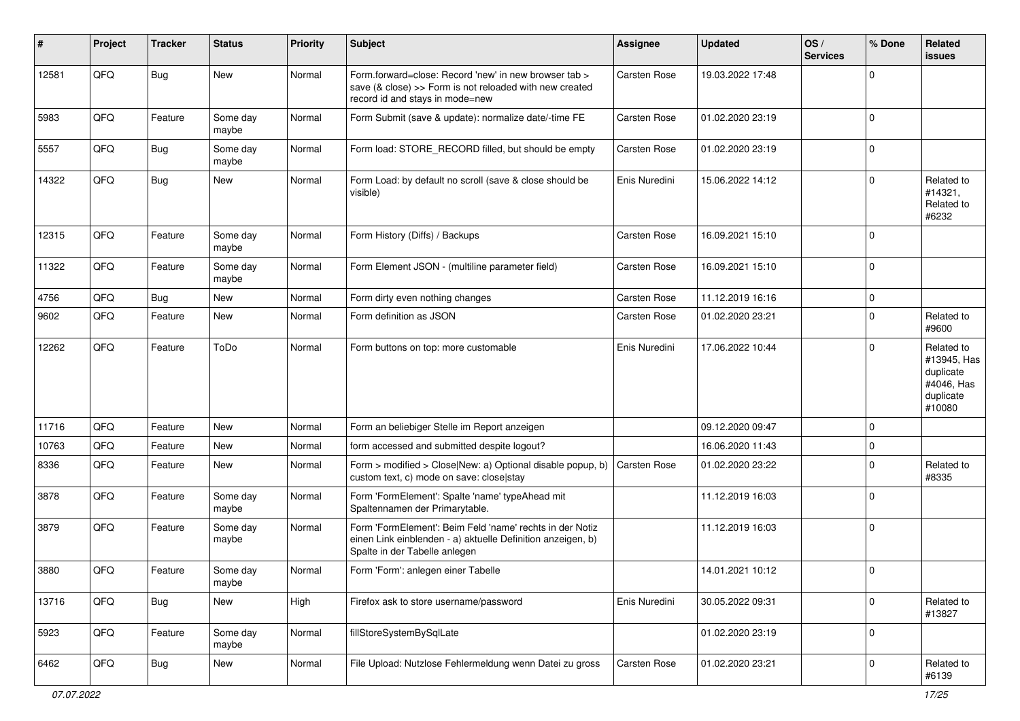| #     | Project | <b>Tracker</b> | <b>Status</b>     | <b>Priority</b> | Subject                                                                                                                                                  | Assignee      | <b>Updated</b>   | OS/<br><b>Services</b> | % Done      | Related<br>issues                                                           |
|-------|---------|----------------|-------------------|-----------------|----------------------------------------------------------------------------------------------------------------------------------------------------------|---------------|------------------|------------------------|-------------|-----------------------------------------------------------------------------|
| 12581 | QFQ     | Bug            | New               | Normal          | Form.forward=close: Record 'new' in new browser tab ><br>save (& close) >> Form is not reloaded with new created<br>record id and stays in mode=new      | Carsten Rose  | 19.03.2022 17:48 |                        | $\mathbf 0$ |                                                                             |
| 5983  | QFQ     | Feature        | Some day<br>maybe | Normal          | Form Submit (save & update): normalize date/-time FE                                                                                                     | Carsten Rose  | 01.02.2020 23:19 |                        | 0           |                                                                             |
| 5557  | QFQ     | Bug            | Some day<br>maybe | Normal          | Form load: STORE_RECORD filled, but should be empty                                                                                                      | Carsten Rose  | 01.02.2020 23:19 |                        | 0           |                                                                             |
| 14322 | QFQ     | <b>Bug</b>     | New               | Normal          | Form Load: by default no scroll (save & close should be<br>visible)                                                                                      | Enis Nuredini | 15.06.2022 14:12 |                        | $\Omega$    | Related to<br>#14321,<br>Related to<br>#6232                                |
| 12315 | QFQ     | Feature        | Some day<br>maybe | Normal          | Form History (Diffs) / Backups                                                                                                                           | Carsten Rose  | 16.09.2021 15:10 |                        | 0           |                                                                             |
| 11322 | QFQ     | Feature        | Some day<br>maybe | Normal          | Form Element JSON - (multiline parameter field)                                                                                                          | Carsten Rose  | 16.09.2021 15:10 |                        | $\Omega$    |                                                                             |
| 4756  | QFQ     | Bug            | New               | Normal          | Form dirty even nothing changes                                                                                                                          | Carsten Rose  | 11.12.2019 16:16 |                        | $\mathbf 0$ |                                                                             |
| 9602  | QFQ     | Feature        | New               | Normal          | Form definition as JSON                                                                                                                                  | Carsten Rose  | 01.02.2020 23:21 |                        | $\Omega$    | Related to<br>#9600                                                         |
| 12262 | QFQ     | Feature        | ToDo              | Normal          | Form buttons on top: more customable                                                                                                                     | Enis Nuredini | 17.06.2022 10:44 |                        | $\Omega$    | Related to<br>#13945, Has<br>duplicate<br>#4046, Has<br>duplicate<br>#10080 |
| 11716 | QFQ     | Feature        | New               | Normal          | Form an beliebiger Stelle im Report anzeigen                                                                                                             |               | 09.12.2020 09:47 |                        | $\Omega$    |                                                                             |
| 10763 | QFQ     | Feature        | New               | Normal          | form accessed and submitted despite logout?                                                                                                              |               | 16.06.2020 11:43 |                        | $\mathbf 0$ |                                                                             |
| 8336  | QFQ     | Feature        | New               | Normal          | Form > modified > Close New: a) Optional disable popup, b)<br>custom text, c) mode on save: close stay                                                   | Carsten Rose  | 01.02.2020 23:22 |                        | $\mathbf 0$ | Related to<br>#8335                                                         |
| 3878  | QFQ     | Feature        | Some day<br>maybe | Normal          | Form 'FormElement': Spalte 'name' typeAhead mit<br>Spaltennamen der Primarytable.                                                                        |               | 11.12.2019 16:03 |                        | 0           |                                                                             |
| 3879  | QFQ     | Feature        | Some day<br>maybe | Normal          | Form 'FormElement': Beim Feld 'name' rechts in der Notiz<br>einen Link einblenden - a) aktuelle Definition anzeigen, b)<br>Spalte in der Tabelle anlegen |               | 11.12.2019 16:03 |                        | 0           |                                                                             |
| 3880  | QFQ     | Feature        | Some day<br>maybe | Normal          | Form 'Form': anlegen einer Tabelle                                                                                                                       |               | 14.01.2021 10:12 |                        | 0           |                                                                             |
| 13716 | QFQ     | Bug            | New               | High            | Firefox ask to store username/password                                                                                                                   | Enis Nuredini | 30.05.2022 09:31 |                        | $\mathbf 0$ | Related to<br>#13827                                                        |
| 5923  | QFQ     | Feature        | Some day<br>maybe | Normal          | fillStoreSystemBySqlLate                                                                                                                                 |               | 01.02.2020 23:19 |                        | 0           |                                                                             |
| 6462  | QFQ     | <b>Bug</b>     | New               | Normal          | File Upload: Nutzlose Fehlermeldung wenn Datei zu gross                                                                                                  | Carsten Rose  | 01.02.2020 23:21 |                        | 0           | Related to<br>#6139                                                         |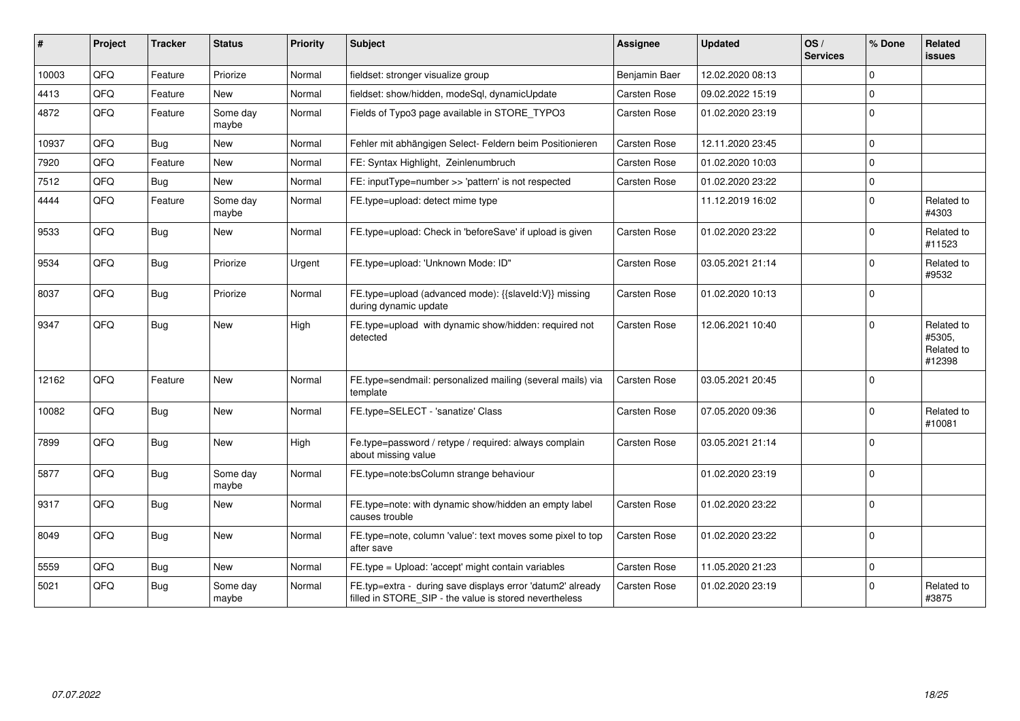| ∦     | Project | <b>Tracker</b> | <b>Status</b>     | <b>Priority</b> | <b>Subject</b>                                                                                                       | <b>Assignee</b> | <b>Updated</b>   | OS/<br><b>Services</b> | % Done      | Related<br><b>issues</b>                     |
|-------|---------|----------------|-------------------|-----------------|----------------------------------------------------------------------------------------------------------------------|-----------------|------------------|------------------------|-------------|----------------------------------------------|
| 10003 | QFQ     | Feature        | Priorize          | Normal          | fieldset: stronger visualize group                                                                                   | Benjamin Baer   | 12.02.2020 08:13 |                        | $\Omega$    |                                              |
| 4413  | QFQ     | Feature        | <b>New</b>        | Normal          | fieldset: show/hidden, modeSql, dynamicUpdate                                                                        | Carsten Rose    | 09.02.2022 15:19 |                        | $\Omega$    |                                              |
| 4872  | QFQ     | Feature        | Some day<br>maybe | Normal          | Fields of Typo3 page available in STORE_TYPO3                                                                        | Carsten Rose    | 01.02.2020 23:19 |                        | $\mathbf 0$ |                                              |
| 10937 | QFQ     | Bug            | New               | Normal          | Fehler mit abhängigen Select- Feldern beim Positionieren                                                             | Carsten Rose    | 12.11.2020 23:45 |                        | $\mathbf 0$ |                                              |
| 7920  | QFQ     | Feature        | <b>New</b>        | Normal          | FE: Syntax Highlight, Zeinlenumbruch                                                                                 | Carsten Rose    | 01.02.2020 10:03 |                        | $\mathbf 0$ |                                              |
| 7512  | QFQ     | Bug            | <b>New</b>        | Normal          | FE: inputType=number >> 'pattern' is not respected                                                                   | Carsten Rose    | 01.02.2020 23:22 |                        | $\mathbf 0$ |                                              |
| 4444  | QFQ     | Feature        | Some day<br>maybe | Normal          | FE.type=upload: detect mime type                                                                                     |                 | 11.12.2019 16:02 |                        | $\Omega$    | Related to<br>#4303                          |
| 9533  | QFQ     | Bug            | <b>New</b>        | Normal          | FE.type=upload: Check in 'beforeSave' if upload is given                                                             | Carsten Rose    | 01.02.2020 23:22 |                        | $\Omega$    | Related to<br>#11523                         |
| 9534  | QFQ     | Bug            | Priorize          | Urgent          | FE.type=upload: 'Unknown Mode: ID"                                                                                   | Carsten Rose    | 03.05.2021 21:14 |                        | $\mathbf 0$ | Related to<br>#9532                          |
| 8037  | QFQ     | Bug            | Priorize          | Normal          | FE.type=upload (advanced mode): {{slaveld:V}} missing<br>during dynamic update                                       | Carsten Rose    | 01.02.2020 10:13 |                        | $\mathbf 0$ |                                              |
| 9347  | QFQ     | Bug            | <b>New</b>        | High            | FE.type=upload with dynamic show/hidden: required not<br>detected                                                    | Carsten Rose    | 12.06.2021 10:40 |                        | $\Omega$    | Related to<br>#5305,<br>Related to<br>#12398 |
| 12162 | QFQ     | Feature        | New               | Normal          | FE.type=sendmail: personalized mailing (several mails) via<br>template                                               | Carsten Rose    | 03.05.2021 20:45 |                        | $\Omega$    |                                              |
| 10082 | QFQ     | Bug            | New               | Normal          | FE.type=SELECT - 'sanatize' Class                                                                                    | Carsten Rose    | 07.05.2020 09:36 |                        | $\Omega$    | Related to<br>#10081                         |
| 7899  | QFQ     | Bug            | New               | High            | Fe.type=password / retype / required: always complain<br>about missing value                                         | Carsten Rose    | 03.05.2021 21:14 |                        | $\Omega$    |                                              |
| 5877  | QFQ     | Bug            | Some day<br>maybe | Normal          | FE.type=note:bsColumn strange behaviour                                                                              |                 | 01.02.2020 23:19 |                        | $\mathbf 0$ |                                              |
| 9317  | QFQ     | Bug            | <b>New</b>        | Normal          | FE.type=note: with dynamic show/hidden an empty label<br>causes trouble                                              | Carsten Rose    | 01.02.2020 23:22 |                        | $\mathbf 0$ |                                              |
| 8049  | QFQ     | Bug            | New               | Normal          | FE.type=note, column 'value': text moves some pixel to top<br>after save                                             | Carsten Rose    | 01.02.2020 23:22 |                        | $\mathbf 0$ |                                              |
| 5559  | QFQ     | <b>Bug</b>     | New               | Normal          | FE.type = Upload: 'accept' might contain variables                                                                   | Carsten Rose    | 11.05.2020 21:23 |                        | $\mathbf 0$ |                                              |
| 5021  | QFQ     | Bug            | Some day<br>maybe | Normal          | FE.typ=extra - during save displays error 'datum2' already<br>filled in STORE_SIP - the value is stored nevertheless | Carsten Rose    | 01.02.2020 23:19 |                        | $\Omega$    | Related to<br>#3875                          |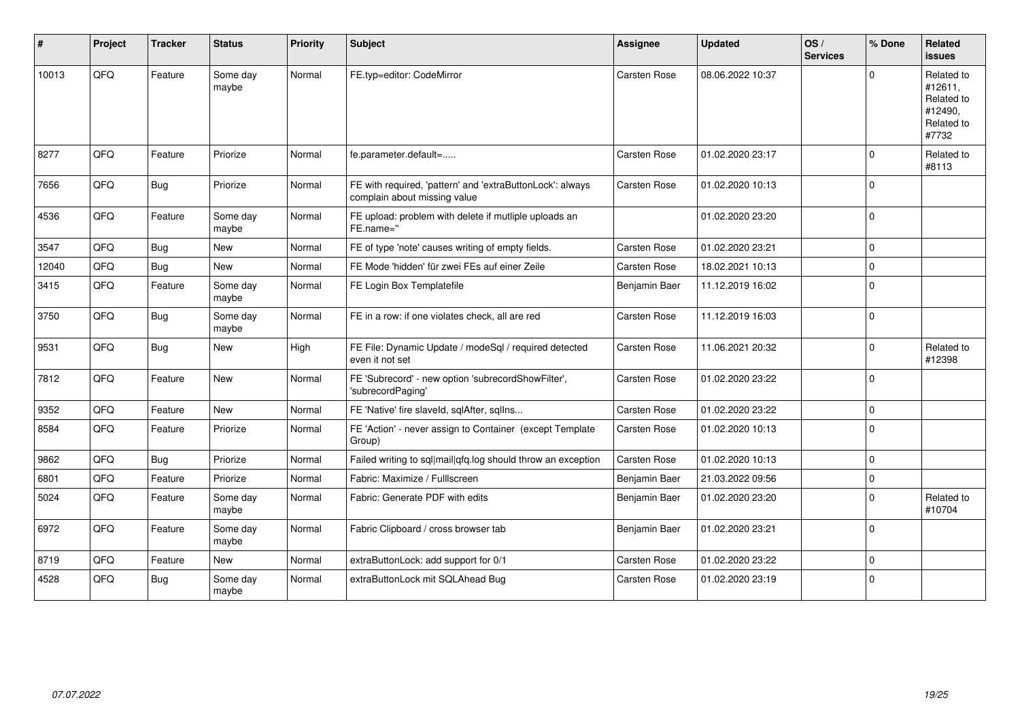| #     | Project | <b>Tracker</b> | <b>Status</b>     | <b>Priority</b> | <b>Subject</b>                                                                            | <b>Assignee</b> | <b>Updated</b>   | OS/<br><b>Services</b> | % Done         | Related<br><b>issues</b>                                              |
|-------|---------|----------------|-------------------|-----------------|-------------------------------------------------------------------------------------------|-----------------|------------------|------------------------|----------------|-----------------------------------------------------------------------|
| 10013 | QFQ     | Feature        | Some day<br>maybe | Normal          | FE.typ=editor: CodeMirror                                                                 | Carsten Rose    | 08.06.2022 10:37 |                        | $\Omega$       | Related to<br>#12611,<br>Related to<br>#12490.<br>Related to<br>#7732 |
| 8277  | QFQ     | Feature        | Priorize          | Normal          | fe.parameter.default=                                                                     | Carsten Rose    | 01.02.2020 23:17 |                        | $\Omega$       | Related to<br>#8113                                                   |
| 7656  | QFQ     | <b>Bug</b>     | Priorize          | Normal          | FE with required, 'pattern' and 'extraButtonLock': always<br>complain about missing value | Carsten Rose    | 01.02.2020 10:13 |                        | $\Omega$       |                                                                       |
| 4536  | QFQ     | Feature        | Some day<br>maybe | Normal          | FE upload: problem with delete if mutliple uploads an<br>FE.name="                        |                 | 01.02.2020 23:20 |                        | $\mathbf 0$    |                                                                       |
| 3547  | QFQ     | Bug            | New               | Normal          | FE of type 'note' causes writing of empty fields.                                         | Carsten Rose    | 01.02.2020 23:21 |                        | $\Omega$       |                                                                       |
| 12040 | QFQ     | Bug            | <b>New</b>        | Normal          | FE Mode 'hidden' für zwei FEs auf einer Zeile                                             | Carsten Rose    | 18.02.2021 10:13 |                        | $\Omega$       |                                                                       |
| 3415  | QFQ     | Feature        | Some day<br>maybe | Normal          | FE Login Box Templatefile                                                                 | Benjamin Baer   | 11.12.2019 16:02 |                        | $\Omega$       |                                                                       |
| 3750  | QFQ     | Bug            | Some day<br>maybe | Normal          | FE in a row: if one violates check, all are red                                           | Carsten Rose    | 11.12.2019 16:03 |                        | $\mathbf 0$    |                                                                       |
| 9531  | QFQ     | Bug            | New               | High            | FE File: Dynamic Update / modeSql / required detected<br>even it not set                  | Carsten Rose    | 11.06.2021 20:32 |                        | $\mathbf 0$    | Related to<br>#12398                                                  |
| 7812  | QFQ     | Feature        | New               | Normal          | FE 'Subrecord' - new option 'subrecordShowFilter',<br>'subrecordPaging'                   | Carsten Rose    | 01.02.2020 23:22 |                        | $\overline{0}$ |                                                                       |
| 9352  | QFQ     | Feature        | <b>New</b>        | Normal          | FE 'Native' fire slaveld, sqlAfter, sqlIns                                                | Carsten Rose    | 01.02.2020 23:22 |                        | $\mathbf 0$    |                                                                       |
| 8584  | QFQ     | Feature        | Priorize          | Normal          | FE 'Action' - never assign to Container (except Template<br>Group)                        | Carsten Rose    | 01.02.2020 10:13 |                        | $\Omega$       |                                                                       |
| 9862  | QFQ     | Bug            | Priorize          | Normal          | Failed writing to sql mail qfq.log should throw an exception                              | Carsten Rose    | 01.02.2020 10:13 |                        | $\mathbf 0$    |                                                                       |
| 6801  | QFQ     | Feature        | Priorize          | Normal          | Fabric: Maximize / Fulllscreen                                                            | Benjamin Baer   | 21.03.2022 09:56 |                        | $\mathbf 0$    |                                                                       |
| 5024  | QFQ     | Feature        | Some day<br>maybe | Normal          | Fabric: Generate PDF with edits                                                           | Benjamin Baer   | 01.02.2020 23:20 |                        | $\Omega$       | Related to<br>#10704                                                  |
| 6972  | QFQ     | Feature        | Some day<br>maybe | Normal          | Fabric Clipboard / cross browser tab                                                      | Benjamin Baer   | 01.02.2020 23:21 |                        | $\Omega$       |                                                                       |
| 8719  | QFQ     | Feature        | <b>New</b>        | Normal          | extraButtonLock: add support for 0/1                                                      | Carsten Rose    | 01.02.2020 23:22 |                        | $\mathbf 0$    |                                                                       |
| 4528  | QFQ     | Bug            | Some day<br>maybe | Normal          | extraButtonLock mit SQLAhead Bug                                                          | Carsten Rose    | 01.02.2020 23:19 |                        | $\mathbf 0$    |                                                                       |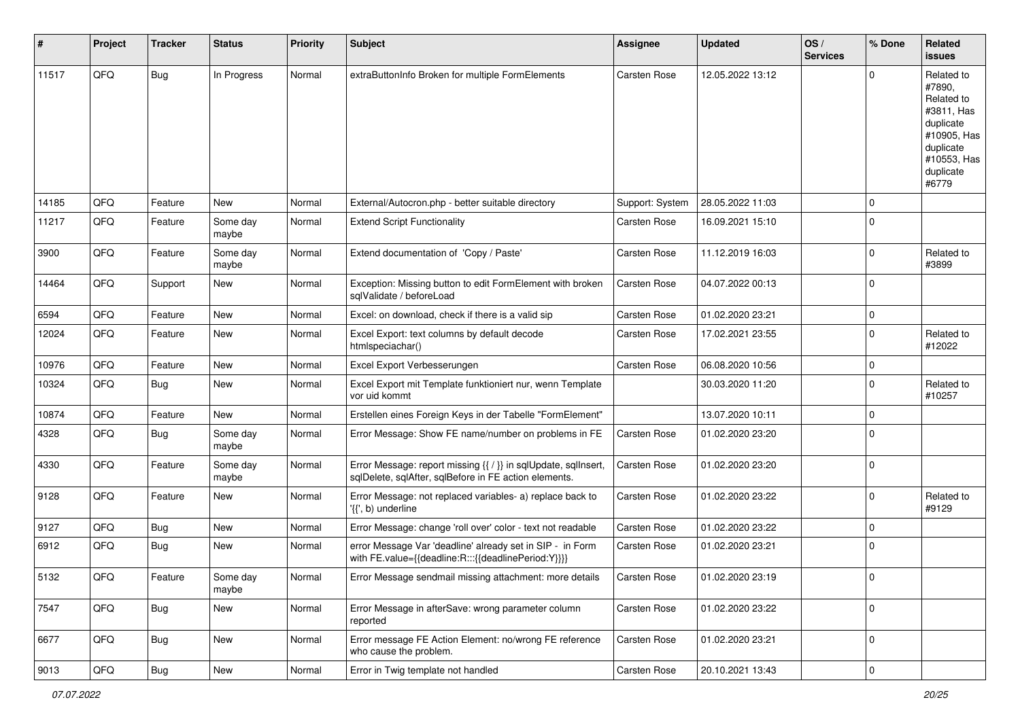| ∦     | Project | <b>Tracker</b> | <b>Status</b>     | <b>Priority</b> | Subject                                                                                                                 | <b>Assignee</b> | <b>Updated</b>   | OS/<br><b>Services</b> | % Done       | Related<br>issues                                                                                                              |
|-------|---------|----------------|-------------------|-----------------|-------------------------------------------------------------------------------------------------------------------------|-----------------|------------------|------------------------|--------------|--------------------------------------------------------------------------------------------------------------------------------|
| 11517 | QFQ     | Bug            | In Progress       | Normal          | extraButtonInfo Broken for multiple FormElements                                                                        | Carsten Rose    | 12.05.2022 13:12 |                        | $\Omega$     | Related to<br>#7890,<br>Related to<br>#3811, Has<br>duplicate<br>#10905, Has<br>duplicate<br>#10553, Has<br>duplicate<br>#6779 |
| 14185 | QFQ     | Feature        | New               | Normal          | External/Autocron.php - better suitable directory                                                                       | Support: System | 28.05.2022 11:03 |                        | $\Omega$     |                                                                                                                                |
| 11217 | QFQ     | Feature        | Some day<br>maybe | Normal          | <b>Extend Script Functionality</b>                                                                                      | Carsten Rose    | 16.09.2021 15:10 |                        | $\mathbf 0$  |                                                                                                                                |
| 3900  | QFQ     | Feature        | Some day<br>maybe | Normal          | Extend documentation of 'Copy / Paste'                                                                                  | Carsten Rose    | 11.12.2019 16:03 |                        | $\Omega$     | Related to<br>#3899                                                                                                            |
| 14464 | QFQ     | Support        | New               | Normal          | Exception: Missing button to edit FormElement with broken<br>sqlValidate / beforeLoad                                   | Carsten Rose    | 04.07.2022 00:13 |                        | $\mathbf{0}$ |                                                                                                                                |
| 6594  | QFQ     | Feature        | <b>New</b>        | Normal          | Excel: on download, check if there is a valid sip                                                                       | Carsten Rose    | 01.02.2020 23:21 |                        | $\mathbf 0$  |                                                                                                                                |
| 12024 | QFQ     | Feature        | New               | Normal          | Excel Export: text columns by default decode<br>htmlspeciachar()                                                        | Carsten Rose    | 17.02.2021 23:55 |                        | $\Omega$     | Related to<br>#12022                                                                                                           |
| 10976 | QFQ     | Feature        | <b>New</b>        | Normal          | Excel Export Verbesserungen                                                                                             | Carsten Rose    | 06.08.2020 10:56 |                        | $\mathbf 0$  |                                                                                                                                |
| 10324 | QFQ     | Bug            | <b>New</b>        | Normal          | Excel Export mit Template funktioniert nur, wenn Template<br>vor uid kommt                                              |                 | 30.03.2020 11:20 |                        | $\Omega$     | Related to<br>#10257                                                                                                           |
| 10874 | QFQ     | Feature        | <b>New</b>        | Normal          | Erstellen eines Foreign Keys in der Tabelle "FormElement"                                                               |                 | 13.07.2020 10:11 |                        | $\mathbf 0$  |                                                                                                                                |
| 4328  | QFQ     | Bug            | Some day<br>maybe | Normal          | Error Message: Show FE name/number on problems in FE                                                                    | Carsten Rose    | 01.02.2020 23:20 |                        | $\Omega$     |                                                                                                                                |
| 4330  | QFQ     | Feature        | Some day<br>maybe | Normal          | Error Message: report missing {{ / }} in sqlUpdate, sqlInsert,<br>sqlDelete, sqlAfter, sqlBefore in FE action elements. | Carsten Rose    | 01.02.2020 23:20 |                        | $\mathbf{0}$ |                                                                                                                                |
| 9128  | QFQ     | Feature        | New               | Normal          | Error Message: not replaced variables- a) replace back to<br>'{{', b) underline                                         | Carsten Rose    | 01.02.2020 23:22 |                        | $\mathbf 0$  | Related to<br>#9129                                                                                                            |
| 9127  | QFQ     | Bug            | New               | Normal          | Error Message: change 'roll over' color - text not readable                                                             | Carsten Rose    | 01.02.2020 23:22 |                        | $\Omega$     |                                                                                                                                |
| 6912  | QFQ     | Bug            | New               | Normal          | error Message Var 'deadline' already set in SIP - in Form<br>with FE.value={{deadline:R:::{{deadlinePeriod:Y}}}}        | Carsten Rose    | 01.02.2020 23:21 |                        | $\Omega$     |                                                                                                                                |
| 5132  | QFQ     | Feature        | Some day<br>maybe | Normal          | Error Message sendmail missing attachment: more details                                                                 | Carsten Rose    | 01.02.2020 23:19 |                        |              |                                                                                                                                |
| 7547  | QFQ     | Bug            | New               | Normal          | Error Message in afterSave: wrong parameter column<br>reported                                                          | Carsten Rose    | 01.02.2020 23:22 |                        | $\mathbf 0$  |                                                                                                                                |
| 6677  | QFQ     | <b>Bug</b>     | New               | Normal          | Error message FE Action Element: no/wrong FE reference<br>who cause the problem.                                        | Carsten Rose    | 01.02.2020 23:21 |                        | $\mathbf 0$  |                                                                                                                                |
| 9013  | QFQ     | Bug            | New               | Normal          | Error in Twig template not handled                                                                                      | Carsten Rose    | 20.10.2021 13:43 |                        | $\mathbf 0$  |                                                                                                                                |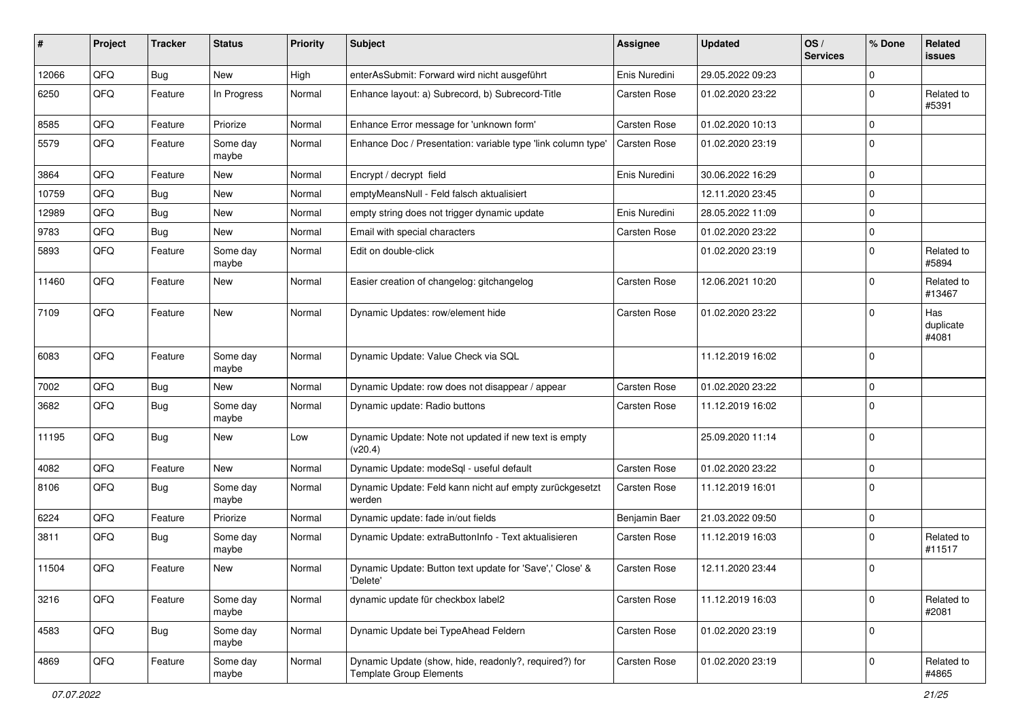| $\sharp$ | Project | <b>Tracker</b> | <b>Status</b>     | <b>Priority</b> | <b>Subject</b>                                                                          | <b>Assignee</b> | <b>Updated</b>   | OS/<br><b>Services</b> | % Done      | Related<br>issues         |
|----------|---------|----------------|-------------------|-----------------|-----------------------------------------------------------------------------------------|-----------------|------------------|------------------------|-------------|---------------------------|
| 12066    | QFQ     | Bug            | <b>New</b>        | High            | enterAsSubmit: Forward wird nicht ausgeführt                                            | Enis Nuredini   | 29.05.2022 09:23 |                        | $\mathbf 0$ |                           |
| 6250     | QFQ     | Feature        | In Progress       | Normal          | Enhance layout: a) Subrecord, b) Subrecord-Title                                        | Carsten Rose    | 01.02.2020 23:22 |                        | $\mathbf 0$ | Related to<br>#5391       |
| 8585     | QFQ     | Feature        | Priorize          | Normal          | Enhance Error message for 'unknown form'                                                | Carsten Rose    | 01.02.2020 10:13 |                        | $\mathbf 0$ |                           |
| 5579     | QFQ     | Feature        | Some day<br>maybe | Normal          | Enhance Doc / Presentation: variable type 'link column type'                            | Carsten Rose    | 01.02.2020 23:19 |                        | $\Omega$    |                           |
| 3864     | QFQ     | Feature        | <b>New</b>        | Normal          | Encrypt / decrypt field                                                                 | Enis Nuredini   | 30.06.2022 16:29 |                        | $\mathbf 0$ |                           |
| 10759    | QFQ     | Bug            | New               | Normal          | emptyMeansNull - Feld falsch aktualisiert                                               |                 | 12.11.2020 23:45 |                        | $\Omega$    |                           |
| 12989    | QFQ     | Bug            | <b>New</b>        | Normal          | empty string does not trigger dynamic update                                            | Enis Nuredini   | 28.05.2022 11:09 |                        | $\Omega$    |                           |
| 9783     | QFQ     | Bug            | <b>New</b>        | Normal          | Email with special characters                                                           | Carsten Rose    | 01.02.2020 23:22 |                        | $\mathbf 0$ |                           |
| 5893     | QFQ     | Feature        | Some day<br>maybe | Normal          | Edit on double-click                                                                    |                 | 01.02.2020 23:19 |                        | $\mathbf 0$ | Related to<br>#5894       |
| 11460    | QFQ     | Feature        | <b>New</b>        | Normal          | Easier creation of changelog: gitchangelog                                              | Carsten Rose    | 12.06.2021 10:20 |                        | $\Omega$    | Related to<br>#13467      |
| 7109     | QFQ     | Feature        | <b>New</b>        | Normal          | Dynamic Updates: row/element hide                                                       | Carsten Rose    | 01.02.2020 23:22 |                        | $\mathbf 0$ | Has<br>duplicate<br>#4081 |
| 6083     | QFQ     | Feature        | Some day<br>maybe | Normal          | Dynamic Update: Value Check via SQL                                                     |                 | 11.12.2019 16:02 |                        | $\mathbf 0$ |                           |
| 7002     | QFQ     | Bug            | <b>New</b>        | Normal          | Dynamic Update: row does not disappear / appear                                         | Carsten Rose    | 01.02.2020 23:22 |                        | $\mathbf 0$ |                           |
| 3682     | QFQ     | Bug            | Some day<br>maybe | Normal          | Dynamic update: Radio buttons                                                           | Carsten Rose    | 11.12.2019 16:02 |                        | $\mathbf 0$ |                           |
| 11195    | QFQ     | <b>Bug</b>     | <b>New</b>        | Low             | Dynamic Update: Note not updated if new text is empty<br>(v20.4)                        |                 | 25.09.2020 11:14 |                        | 0           |                           |
| 4082     | QFQ     | Feature        | New               | Normal          | Dynamic Update: modeSql - useful default                                                | Carsten Rose    | 01.02.2020 23:22 |                        | $\mathbf 0$ |                           |
| 8106     | QFQ     | Bug            | Some day<br>maybe | Normal          | Dynamic Update: Feld kann nicht auf empty zurückgesetzt<br>werden                       | Carsten Rose    | 11.12.2019 16:01 |                        | $\mathbf 0$ |                           |
| 6224     | QFQ     | Feature        | Priorize          | Normal          | Dynamic update: fade in/out fields                                                      | Benjamin Baer   | 21.03.2022 09:50 |                        | $\mathbf 0$ |                           |
| 3811     | QFQ     | Bug            | Some day<br>maybe | Normal          | Dynamic Update: extraButtonInfo - Text aktualisieren                                    | Carsten Rose    | 11.12.2019 16:03 |                        | 0           | Related to<br>#11517      |
| 11504    | QFQ     | Feature        | <b>New</b>        | Normal          | Dynamic Update: Button text update for 'Save',' Close' &<br>'Delete'                    | Carsten Rose    | 12.11.2020 23:44 |                        | $\mathbf 0$ |                           |
| 3216     | QFG     | Feature        | Some day<br>maybe | Normal          | dynamic update für checkbox label2                                                      | Carsten Rose    | 11.12.2019 16:03 |                        | $\mathbf 0$ | Related to<br>#2081       |
| 4583     | QFQ     | <b>Bug</b>     | Some day<br>maybe | Normal          | Dynamic Update bei TypeAhead Feldern                                                    | Carsten Rose    | 01.02.2020 23:19 |                        | $\mathbf 0$ |                           |
| 4869     | QFG     | Feature        | Some day<br>maybe | Normal          | Dynamic Update (show, hide, readonly?, required?) for<br><b>Template Group Elements</b> | Carsten Rose    | 01.02.2020 23:19 |                        | $\mathbf 0$ | Related to<br>#4865       |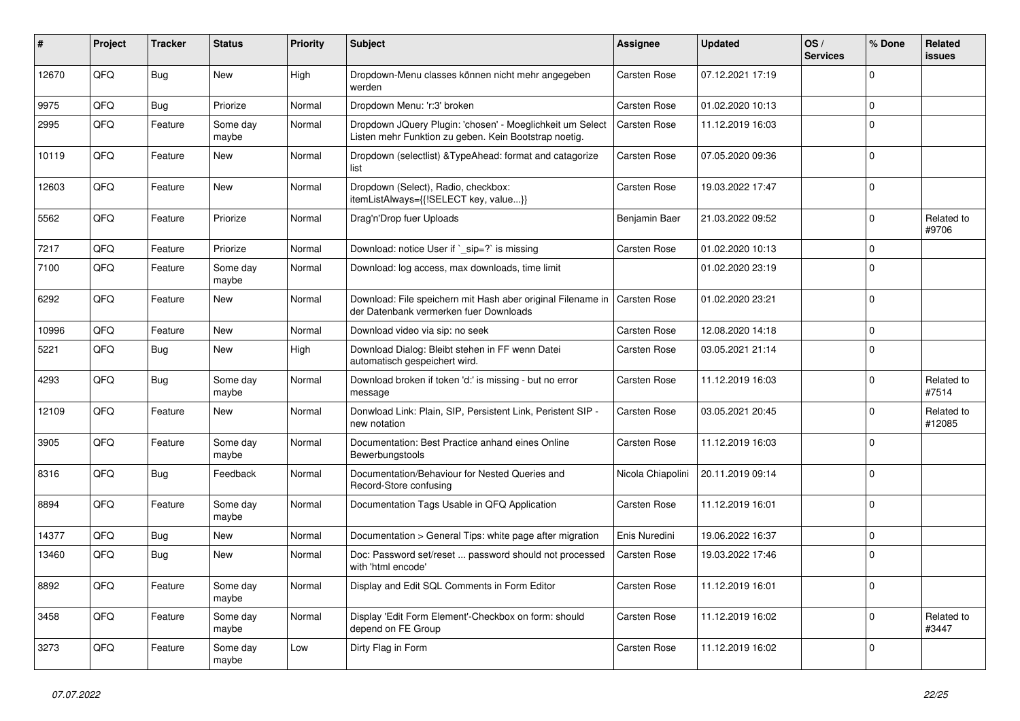| #     | Project | <b>Tracker</b> | <b>Status</b>     | <b>Priority</b> | <b>Subject</b>                                                                                                     | <b>Assignee</b>     | <b>Updated</b>   | OS/<br><b>Services</b> | % Done   | Related<br>issues    |
|-------|---------|----------------|-------------------|-----------------|--------------------------------------------------------------------------------------------------------------------|---------------------|------------------|------------------------|----------|----------------------|
| 12670 | QFQ     | Bug            | <b>New</b>        | High            | Dropdown-Menu classes können nicht mehr angegeben<br>werden                                                        | Carsten Rose        | 07.12.2021 17:19 |                        | $\Omega$ |                      |
| 9975  | QFQ     | <b>Bug</b>     | Priorize          | Normal          | Dropdown Menu: 'r:3' broken                                                                                        | <b>Carsten Rose</b> | 01.02.2020 10:13 |                        | 0        |                      |
| 2995  | QFQ     | Feature        | Some day<br>maybe | Normal          | Dropdown JQuery Plugin: 'chosen' - Moeglichkeit um Select<br>Listen mehr Funktion zu geben. Kein Bootstrap noetig. | <b>Carsten Rose</b> | 11.12.2019 16:03 |                        | $\Omega$ |                      |
| 10119 | QFQ     | Feature        | New               | Normal          | Dropdown (selectlist) & TypeAhead: format and catagorize<br>list                                                   | Carsten Rose        | 07.05.2020 09:36 |                        | $\Omega$ |                      |
| 12603 | QFQ     | Feature        | <b>New</b>        | Normal          | Dropdown (Select), Radio, checkbox:<br>itemListAlways={{!SELECT key, value}}                                       | Carsten Rose        | 19.03.2022 17:47 |                        | $\Omega$ |                      |
| 5562  | QFQ     | Feature        | Priorize          | Normal          | Drag'n'Drop fuer Uploads                                                                                           | Benjamin Baer       | 21.03.2022 09:52 |                        | $\Omega$ | Related to<br>#9706  |
| 7217  | QFQ     | Feature        | Priorize          | Normal          | Download: notice User if ` sip=?` is missing                                                                       | Carsten Rose        | 01.02.2020 10:13 |                        | $\Omega$ |                      |
| 7100  | QFQ     | Feature        | Some day<br>maybe | Normal          | Download: log access, max downloads, time limit                                                                    |                     | 01.02.2020 23:19 |                        | $\Omega$ |                      |
| 6292  | QFQ     | Feature        | <b>New</b>        | Normal          | Download: File speichern mit Hash aber original Filename in<br>der Datenbank vermerken fuer Downloads              | <b>Carsten Rose</b> | 01.02.2020 23:21 |                        | $\Omega$ |                      |
| 10996 | QFQ     | Feature        | New               | Normal          | Download video via sip: no seek                                                                                    | Carsten Rose        | 12.08.2020 14:18 |                        | $\Omega$ |                      |
| 5221  | QFQ     | <b>Bug</b>     | New               | High            | Download Dialog: Bleibt stehen in FF wenn Datei<br>automatisch gespeichert wird.                                   | Carsten Rose        | 03.05.2021 21:14 |                        | $\Omega$ |                      |
| 4293  | QFQ     | <b>Bug</b>     | Some day<br>maybe | Normal          | Download broken if token 'd:' is missing - but no error<br>message                                                 | Carsten Rose        | 11.12.2019 16:03 |                        | $\Omega$ | Related to<br>#7514  |
| 12109 | QFQ     | Feature        | <b>New</b>        | Normal          | Donwload Link: Plain, SIP, Persistent Link, Peristent SIP -<br>new notation                                        | Carsten Rose        | 03.05.2021 20:45 |                        | $\Omega$ | Related to<br>#12085 |
| 3905  | QFQ     | Feature        | Some day<br>maybe | Normal          | Documentation: Best Practice anhand eines Online<br>Bewerbungstools                                                | Carsten Rose        | 11.12.2019 16:03 |                        | $\Omega$ |                      |
| 8316  | QFQ     | <b>Bug</b>     | Feedback          | Normal          | Documentation/Behaviour for Nested Queries and<br>Record-Store confusing                                           | Nicola Chiapolini   | 20.11.2019 09:14 |                        | $\Omega$ |                      |
| 8894  | QFQ     | Feature        | Some day<br>maybe | Normal          | Documentation Tags Usable in QFQ Application                                                                       | Carsten Rose        | 11.12.2019 16:01 |                        | $\Omega$ |                      |
| 14377 | QFQ     | Bug            | <b>New</b>        | Normal          | Documentation > General Tips: white page after migration                                                           | Enis Nuredini       | 19.06.2022 16:37 |                        | $\Omega$ |                      |
| 13460 | QFQ     | Bug            | New               | Normal          | Doc: Password set/reset  password should not processed<br>with 'html encode'                                       | Carsten Rose        | 19.03.2022 17:46 |                        | $\Omega$ |                      |
| 8892  | QFQ     | Feature        | Some day<br>maybe | Normal          | Display and Edit SQL Comments in Form Editor                                                                       | Carsten Rose        | 11.12.2019 16:01 |                        | $\Omega$ |                      |
| 3458  | QFQ     | Feature        | Some day<br>maybe | Normal          | Display 'Edit Form Element'-Checkbox on form: should<br>depend on FE Group                                         | Carsten Rose        | 11.12.2019 16:02 |                        | $\Omega$ | Related to<br>#3447  |
| 3273  | QFQ     | Feature        | Some day<br>maybe | Low             | Dirty Flag in Form                                                                                                 | Carsten Rose        | 11.12.2019 16:02 |                        | $\Omega$ |                      |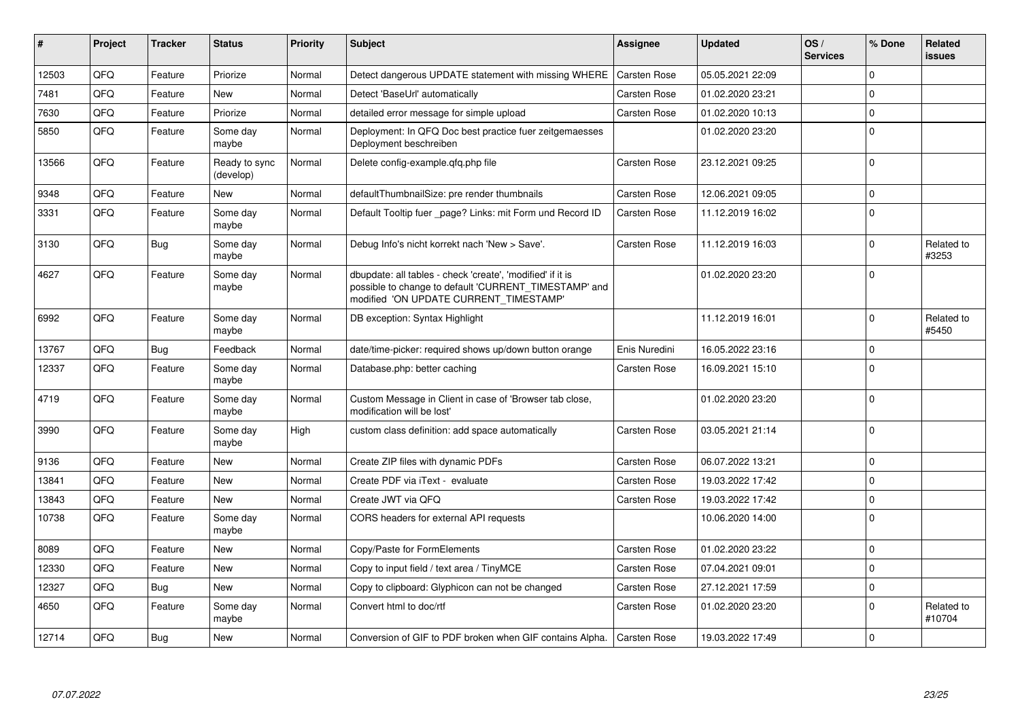| $\#$  | Project | <b>Tracker</b> | <b>Status</b>              | <b>Priority</b> | <b>Subject</b>                                                                                                                                                | Assignee            | <b>Updated</b>   | OS/<br><b>Services</b> | % Done      | Related<br><b>issues</b> |
|-------|---------|----------------|----------------------------|-----------------|---------------------------------------------------------------------------------------------------------------------------------------------------------------|---------------------|------------------|------------------------|-------------|--------------------------|
| 12503 | QFQ     | Feature        | Priorize                   | Normal          | Detect dangerous UPDATE statement with missing WHERE                                                                                                          | <b>Carsten Rose</b> | 05.05.2021 22:09 |                        | $\Omega$    |                          |
| 7481  | QFQ     | Feature        | <b>New</b>                 | Normal          | Detect 'BaseUrl' automatically                                                                                                                                | Carsten Rose        | 01.02.2020 23:21 |                        | $\Omega$    |                          |
| 7630  | QFQ     | Feature        | Priorize                   | Normal          | detailed error message for simple upload                                                                                                                      | Carsten Rose        | 01.02.2020 10:13 |                        | $\mathbf 0$ |                          |
| 5850  | QFQ     | Feature        | Some day<br>maybe          | Normal          | Deployment: In QFQ Doc best practice fuer zeitgemaesses<br>Deployment beschreiben                                                                             |                     | 01.02.2020 23:20 |                        | 0           |                          |
| 13566 | QFQ     | Feature        | Ready to sync<br>(develop) | Normal          | Delete config-example.gfg.php file                                                                                                                            | Carsten Rose        | 23.12.2021 09:25 |                        | $\Omega$    |                          |
| 9348  | QFQ     | Feature        | <b>New</b>                 | Normal          | defaultThumbnailSize: pre render thumbnails                                                                                                                   | Carsten Rose        | 12.06.2021 09:05 |                        | $\Omega$    |                          |
| 3331  | QFQ     | Feature        | Some day<br>maybe          | Normal          | Default Tooltip fuer _page? Links: mit Form und Record ID                                                                                                     | Carsten Rose        | 11.12.2019 16:02 |                        | $\Omega$    |                          |
| 3130  | QFQ     | Bug            | Some day<br>maybe          | Normal          | Debug Info's nicht korrekt nach 'New > Save'.                                                                                                                 | <b>Carsten Rose</b> | 11.12.2019 16:03 |                        | $\Omega$    | Related to<br>#3253      |
| 4627  | QFQ     | Feature        | Some day<br>maybe          | Normal          | dbupdate: all tables - check 'create', 'modified' if it is<br>possible to change to default 'CURRENT_TIMESTAMP' and<br>modified 'ON UPDATE CURRENT TIMESTAMP' |                     | 01.02.2020 23:20 |                        | $\Omega$    |                          |
| 6992  | QFQ     | Feature        | Some day<br>maybe          | Normal          | DB exception: Syntax Highlight                                                                                                                                |                     | 11.12.2019 16:01 |                        | $\Omega$    | Related to<br>#5450      |
| 13767 | QFQ     | Bug            | Feedback                   | Normal          | date/time-picker: required shows up/down button orange                                                                                                        | Enis Nuredini       | 16.05.2022 23:16 |                        | 0           |                          |
| 12337 | QFQ     | Feature        | Some day<br>maybe          | Normal          | Database.php: better caching                                                                                                                                  | Carsten Rose        | 16.09.2021 15:10 |                        | $\Omega$    |                          |
| 4719  | QFQ     | Feature        | Some day<br>maybe          | Normal          | Custom Message in Client in case of 'Browser tab close,<br>modification will be lost'                                                                         |                     | 01.02.2020 23:20 |                        | $\Omega$    |                          |
| 3990  | QFQ     | Feature        | Some day<br>maybe          | High            | custom class definition: add space automatically                                                                                                              | Carsten Rose        | 03.05.2021 21:14 |                        | $\Omega$    |                          |
| 9136  | QFQ     | Feature        | <b>New</b>                 | Normal          | Create ZIP files with dynamic PDFs                                                                                                                            | <b>Carsten Rose</b> | 06.07.2022 13:21 |                        | $\Omega$    |                          |
| 13841 | QFQ     | Feature        | <b>New</b>                 | Normal          | Create PDF via iText - evaluate                                                                                                                               | <b>Carsten Rose</b> | 19.03.2022 17:42 |                        | $\Omega$    |                          |
| 13843 | QFQ     | Feature        | <b>New</b>                 | Normal          | Create JWT via QFQ                                                                                                                                            | Carsten Rose        | 19.03.2022 17:42 |                        | $\Omega$    |                          |
| 10738 | QFQ     | Feature        | Some day<br>maybe          | Normal          | CORS headers for external API requests                                                                                                                        |                     | 10.06.2020 14:00 |                        | $\Omega$    |                          |
| 8089  | QFQ     | Feature        | <b>New</b>                 | Normal          | Copy/Paste for FormElements                                                                                                                                   | Carsten Rose        | 01.02.2020 23:22 |                        | $\Omega$    |                          |
| 12330 | QFQ     | Feature        | <b>New</b>                 | Normal          | Copy to input field / text area / TinyMCE                                                                                                                     | Carsten Rose        | 07.04.2021 09:01 |                        | $\Omega$    |                          |
| 12327 | QFQ     | <b>Bug</b>     | <b>New</b>                 | Normal          | Copy to clipboard: Glyphicon can not be changed                                                                                                               | Carsten Rose        | 27.12.2021 17:59 |                        | $\Omega$    |                          |
| 4650  | QFQ     | Feature        | Some day<br>maybe          | Normal          | Convert html to doc/rtf                                                                                                                                       | <b>Carsten Rose</b> | 01.02.2020 23:20 |                        | $\Omega$    | Related to<br>#10704     |
| 12714 | QFQ     | Bug            | <b>New</b>                 | Normal          | Conversion of GIF to PDF broken when GIF contains Alpha.                                                                                                      | <b>Carsten Rose</b> | 19.03.2022 17:49 |                        | $\Omega$    |                          |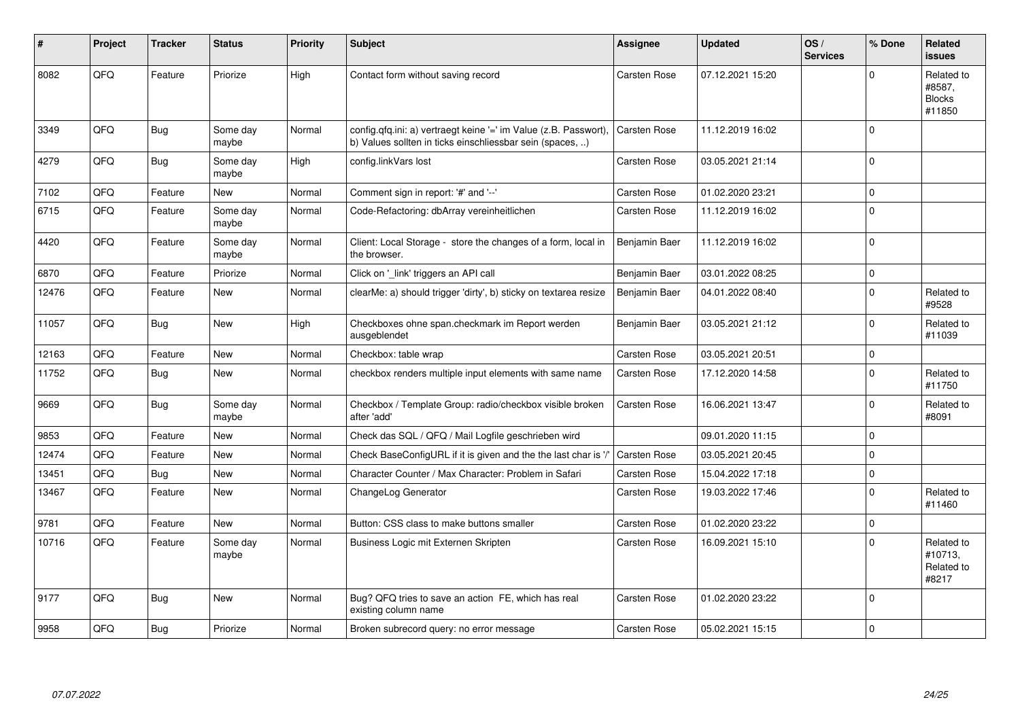| ∦     | Project | <b>Tracker</b> | <b>Status</b>     | <b>Priority</b> | <b>Subject</b>                                                                                                                | Assignee            | <b>Updated</b>   | OS/<br><b>Services</b> | % Done      | Related<br>issues                               |
|-------|---------|----------------|-------------------|-----------------|-------------------------------------------------------------------------------------------------------------------------------|---------------------|------------------|------------------------|-------------|-------------------------------------------------|
| 8082  | QFQ     | Feature        | Priorize          | High            | Contact form without saving record                                                                                            | Carsten Rose        | 07.12.2021 15:20 |                        | $\Omega$    | Related to<br>#8587,<br><b>Blocks</b><br>#11850 |
| 3349  | QFQ     | Bug            | Some day<br>maybe | Normal          | config.qfq.ini: a) vertraegt keine '=' im Value (z.B. Passwort),<br>b) Values sollten in ticks einschliessbar sein (spaces, ) | Carsten Rose        | 11.12.2019 16:02 |                        | $\Omega$    |                                                 |
| 4279  | QFQ     | Bug            | Some day<br>maybe | High            | config.linkVars lost                                                                                                          | Carsten Rose        | 03.05.2021 21:14 |                        | $\mathbf 0$ |                                                 |
| 7102  | QFQ     | Feature        | <b>New</b>        | Normal          | Comment sign in report: '#' and '--'                                                                                          | Carsten Rose        | 01.02.2020 23:21 |                        | $\mathbf 0$ |                                                 |
| 6715  | QFQ     | Feature        | Some day<br>maybe | Normal          | Code-Refactoring: dbArray vereinheitlichen                                                                                    | Carsten Rose        | 11.12.2019 16:02 |                        | $\mathbf 0$ |                                                 |
| 4420  | QFQ     | Feature        | Some day<br>maybe | Normal          | Client: Local Storage - store the changes of a form, local in<br>the browser.                                                 | Benjamin Baer       | 11.12.2019 16:02 |                        | 0           |                                                 |
| 6870  | QFQ     | Feature        | Priorize          | Normal          | Click on '_link' triggers an API call                                                                                         | Benjamin Baer       | 03.01.2022 08:25 |                        | $\pmb{0}$   |                                                 |
| 12476 | QFQ     | Feature        | New               | Normal          | clearMe: a) should trigger 'dirty', b) sticky on textarea resize                                                              | Benjamin Baer       | 04.01.2022 08:40 |                        | $\Omega$    | Related to<br>#9528                             |
| 11057 | QFQ     | <b>Bug</b>     | <b>New</b>        | High            | Checkboxes ohne span.checkmark im Report werden<br>ausgeblendet                                                               | Benjamin Baer       | 03.05.2021 21:12 |                        | $\Omega$    | Related to<br>#11039                            |
| 12163 | QFQ     | Feature        | <b>New</b>        | Normal          | Checkbox: table wrap                                                                                                          | <b>Carsten Rose</b> | 03.05.2021 20:51 |                        | $\pmb{0}$   |                                                 |
| 11752 | QFQ     | Bug            | New               | Normal          | checkbox renders multiple input elements with same name                                                                       | Carsten Rose        | 17.12.2020 14:58 |                        | $\Omega$    | Related to<br>#11750                            |
| 9669  | QFQ     | Bug            | Some day<br>maybe | Normal          | Checkbox / Template Group: radio/checkbox visible broken<br>after 'add'                                                       | Carsten Rose        | 16.06.2021 13:47 |                        | $\mathbf 0$ | Related to<br>#8091                             |
| 9853  | QFQ     | Feature        | <b>New</b>        | Normal          | Check das SQL / QFQ / Mail Logfile geschrieben wird                                                                           |                     | 09.01.2020 11:15 |                        | $\mathbf 0$ |                                                 |
| 12474 | QFQ     | Feature        | <b>New</b>        | Normal          | Check BaseConfigURL if it is given and the the last char is '/'                                                               | Carsten Rose        | 03.05.2021 20:45 |                        | $\mathbf 0$ |                                                 |
| 13451 | QFQ     | Bug            | New               | Normal          | Character Counter / Max Character: Problem in Safari                                                                          | Carsten Rose        | 15.04.2022 17:18 |                        | $\mathbf 0$ |                                                 |
| 13467 | QFQ     | Feature        | <b>New</b>        | Normal          | ChangeLog Generator                                                                                                           | Carsten Rose        | 19.03.2022 17:46 |                        | $\Omega$    | Related to<br>#11460                            |
| 9781  | QFQ     | Feature        | New               | Normal          | Button: CSS class to make buttons smaller                                                                                     | Carsten Rose        | 01.02.2020 23:22 |                        | $\mathbf 0$ |                                                 |
| 10716 | QFQ     | Feature        | Some day<br>maybe | Normal          | Business Logic mit Externen Skripten                                                                                          | Carsten Rose        | 16.09.2021 15:10 |                        | $\Omega$    | Related to<br>#10713,<br>Related to<br>#8217    |
| 9177  | QFQ     | Bug            | New               | Normal          | Bug? QFQ tries to save an action FE, which has real<br>existing column name                                                   | Carsten Rose        | 01.02.2020 23:22 |                        | 0           |                                                 |
| 9958  | QFQ     | Bug            | Priorize          | Normal          | Broken subrecord query: no error message                                                                                      | <b>Carsten Rose</b> | 05.02.2021 15:15 |                        | $\mathbf 0$ |                                                 |